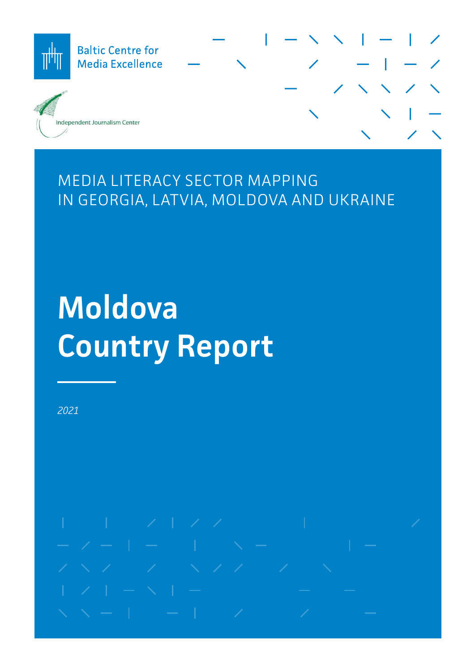

# MEDIA LITERACY SECTOR MAPPING IN GEORGIA, LATVIA, MOLDOVA AND UKRAINE

# **Moldova Country Report**

*2021*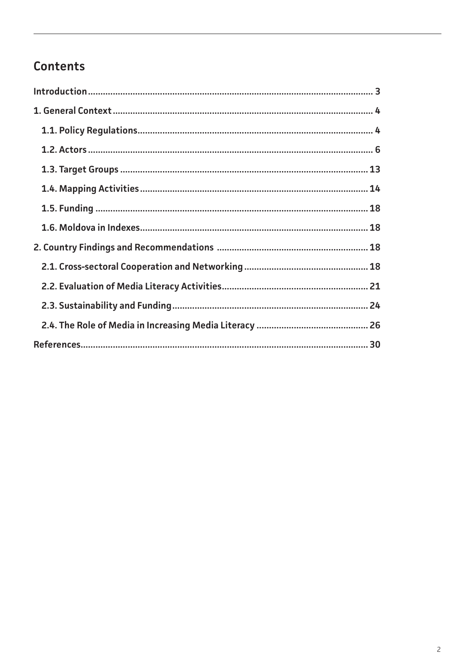# Contents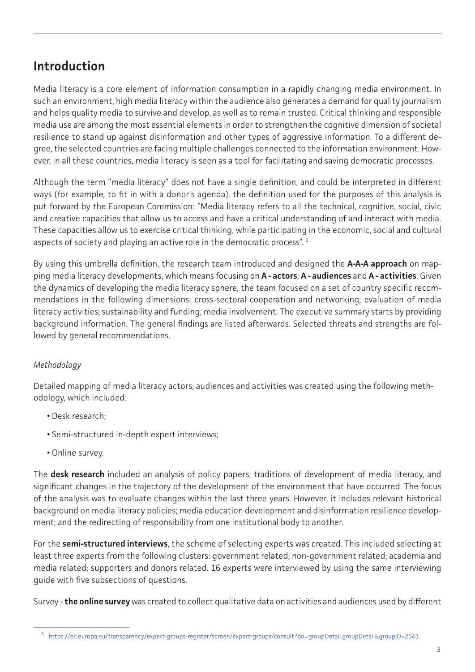# <span id="page-2-0"></span>**Introduction**

Media literacy is a core element of information consumption in a rapidly changing media environment. In such an environment, high media literacy within the audience also generates a demand for quality journalism and helps quality media to survive and develop, as well as to remain trusted. Critical thinking and responsible media use are among the most essential elements in order to strengthen the cognitive dimension of societal resilience to stand up against disinformation and other types of aggressive information. To a different degree, the selected countries are facing multiple challenges connected to the information environment. However, in all these countries, media literacy is seen as a tool for facilitating and saving democratic processes.

Although the term "media literacy" does not have a single definition, and could be interpreted in different ways (for example, to fit in with a donor's agenda), the definition used for the purposes of this analysis is put forward by the European Commission: "Media literacy refers to all the technical, cognitive, social, civic and creative capacities that allow us to access and have a critical understanding of and interact with media. These capacities allow us to exercise critical thinking, while participating in the economic, social and cultural aspects of society and playing an active role in the democratic process".<sup>1</sup>

By using this umbrella definition, the research team introduced and designed the **A-A-A approach** on mapping media literacy developments, which means focusing on **A - actors**; **A - audiences** and **A - activities**. Given the dynamics of developing the media literacy sphere, the team focused on a set of country specific recommendations in the following dimensions: cross-sectoral cooperation and networking; evaluation of media literacy activities; sustainability and funding; media involvement. The executive summary starts by providing background information. The general findings are listed afterwards. Selected threats and strengths are followed by general recommendations.

# *Methodology*

Detailed mapping of media literacy actors, audiences and activities was created using the following methodology, which included:

- Desk research;
- Semi-structured in-depth expert interviews;
- Online survey.

The **desk research** included an analysis of policy papers, traditions of development of media literacy, and significant changes in the trajectory of the development of the environment that have occurred. The focus of the analysis was to evaluate changes within the last three years. However, it includes relevant historical background on media literacy policies; media education development and disinformation resilience development; and the redirecting of responsibility from one institutional body to another.

For the **semi-structured interviews**, the scheme of selecting experts was created. This included selecting at least three experts from the following clusters: government related; non-government related; academia and media related; supporters and donors related. 16 experts were interviewed by using the same interviewing guide with five subsections of questions.

Survey - **the online survey** was created to collect qualitative data on activities and audiences used by different

<sup>1</sup> [https://ec.europa.eu/transparency/expert-groups-register/screen/expert-groups/consult?do=groupDetail.groupDetail&groupID=2541](https://ec.europa.eu/transparency/expert-groups-register/screen/expert-groups/consult?do=groupDetail)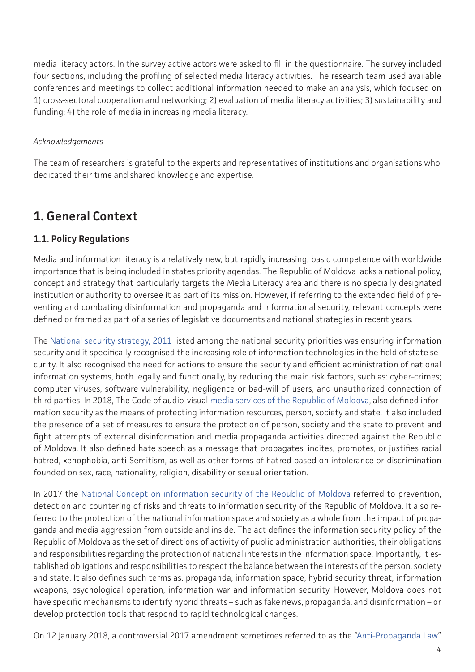<span id="page-3-0"></span>media literacy actors. In the survey active actors were asked to fill in the questionnaire. The survey included four sections, including the profiling of selected media literacy activities. The research team used available conferences and meetings to collect additional information needed to make an analysis, which focused on 1) cross-sectoral cooperation and networking; 2) evaluation of media literacy activities; 3) sustainability and funding; 4) the role of media in increasing media literacy.

### *Acknowledgements*

The team of researchers is grateful to the experts and representatives of institutions and organisations who dedicated their time and shared knowledge and expertise.

# **1. General Context**

# **1.1. Policy Regulations**

Media and information literacy is a relatively new, but rapidly increasing, basic competence with worldwide importance that is being included in states priority agendas. The Republic of Moldova lacks a national policy, concept and strategy that particularly targets the Media Literacy area and there is no specially designated institution or authority to oversee it as part of its mission. However, if referring to the extended field of preventing and combating disinformation and propaganda and informational security, relevant concepts were defined or framed as part of a series of legislative documents and national strategies in recent years.

The [National security strategy, 2011](https://www.legis.md/cautare/getResults?doc_id=17629&lang=ro) listed among the national security priorities was ensuring information security and it specifically recognised the increasing role of information technologies in the field of state security. It also recognised the need for actions to ensure the security and efficient administration of national information systems, both legally and functionally, by reducing the main risk factors, such as: cyber-crimes; computer viruses; software vulnerability; negligence or bad-will of users; and unauthorized connection of third parties. In 2018, The Code of audio-visual [media services of the Republic of Moldova,](https://www.legis.md/cautare/getResults?doc_id=33713&lang=ro) also defined information security as the means of protecting information resources, person, society and state. It also included the presence of a set of measures to ensure the protection of person, society and the state to prevent and fight attempts of external disinformation and media propaganda activities directed against the Republic of Moldova. It also defined hate speech as a message that propagates, incites, promotes, or justifies racial hatred, xenophobia, anti-Semitism, as well as other forms of hatred based on intolerance or discrimination founded on sex, race, nationality, religion, disability or sexual orientation.

In 2017 the [National Concept on information security of the Republic of Moldova](https://www.legis.md/cautare/getResults?doc_id=105660&lang=ro) referred to prevention, detection and countering of risks and threats to information security of the Republic of Moldova. It also referred to the protection of the national information space and society as a whole from the impact of propaganda and media aggression from outside and inside. The act defines the information security policy of the Republic of Moldova as the set of directions of activity of public administration authorities, their obligations and responsibilities regarding the protection of national interests in the information space. Importantly, it established obligations and responsibilities to respect the balance between the interests of the person, society and state. It also defines such terms as: propaganda, information space, hybrid security threat, information weapons, psychological operation, information war and information security. However, Moldova does not have specific mechanisms to identify hybrid threats – such as fake news, propaganda, and disinformation – or develop protection tools that respond to rapid technological changes.

On 12 January 2018, a controversial 2017 amendment sometimes referred to as the ["Anti-Propaganda Law](https://www.parlament.md/LinkClick.aspx?fileticket=tz6+H3AFTNA=&tabid=255&language=ro-RO)"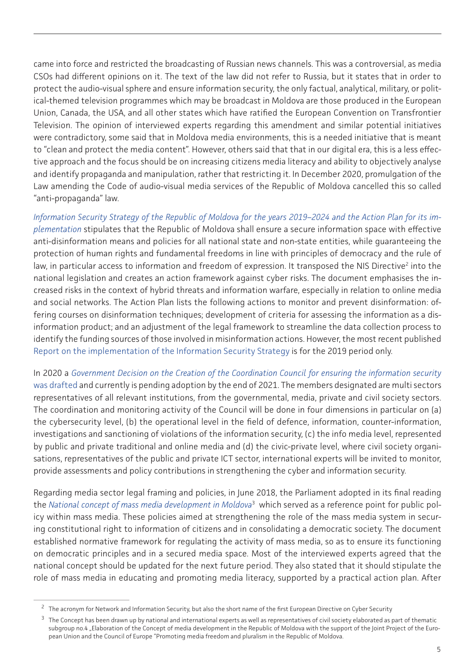came into force and restricted the broadcasting of Russian news channels. This was a controversial, as media CSOs had different opinions on it. The text of the law did not refer to Russia, but it states that in order to protect the audio-visual sphere and ensure information security, the only factual, analytical, military, or political-themed television programmes which may be broadcast in Moldova are those produced in the European Union, Canada, the USA, and all other states which have ratified the European Convention on Transfrontier Television. The opinion of interviewed experts regarding this amendment and similar potential initiatives were contradictory, some said that in Moldova media environments, this is a needed initiative that is meant to "clean and protect the media content". However, others said that that in our digital era, this is a less effective approach and the focus should be on increasing citizens media literacy and ability to objectively analyse and identify propaganda and manipulation, rather that restricting it. In December 2020, promulgation of the Law amending the Code of audio-visual media services of the Republic of Moldova cancelled this so called "anti-propaganda" law.

*[Information Security Strategy of the Republic of Moldova for the years 2019–2024 and the Action Plan for its im](https://www.legis.md/cautare/getResults?doc_id=111979&lang=ro)[plementation](https://www.legis.md/cautare/getResults?doc_id=111979&lang=ro)* stipulates that the Republic of Moldova shall ensure a secure information space with effective anti-disinformation means and policies for all national state and non-state entities, while guaranteeing the protection of human rights and fundamental freedoms in line with principles of democracy and the rule of law, in particular access to information and freedom of expression. It transposed the NIS Directive<sup>2</sup> into the national legislation and creates an action framework against cyber risks. The document emphasises the increased risks in the context of hybrid threats and information warfare, especially in relation to online media and social networks. The Action Plan lists the following actions to monitor and prevent disinformation: offering courses on disinformation techniques; development of criteria for assessing the information as a disinformation product; and an adjustment of the legal framework to streamline the data collection process to identify the funding sources of those involved in misinformation actions. However, the most recent published [Report on the implementation of the Information Security Strategy](https://sis.md/sites/default/files/transparenta/Raport%2520realizari%25202019%2520SSIfinal.pdf) is for the 2019 period only.

In 2020 a *[Government Decision on the Creation of the Coordination Council for ensuring the information security](https://cancelaria.gov.md/sites/default/files/document/attachments/intr259.pdf)* [was drafted](https://cancelaria.gov.md/sites/default/files/document/attachments/intr259.pdf) and currently is pending adoption by the end of 2021. The members designated are multi sectors representatives of all relevant institutions, from the governmental, media, private and civil society sectors. The coordination and monitoring activity of the Council will be done in four dimensions in particular on (a) the cybersecurity level, (b) the operational level in the field of defence, information, counter-information, investigations and sanctioning of violations of the information security, (c) the info media level, represented by public and private traditional and online media and (d) the civic-private level, where civil society organisations, representatives of the public and private ICT sector, international experts will be invited to monitor, provide assessments and policy contributions in strengthening the cyber and information security.

Regarding media sector legal framing and policies, in June 2018, the Parliament adopted in its final reading the *[National concept of mass media development in Moldova](https://www.legis.md/cautare/getResults?doc_id=105449&lang=ro)*<sup>3</sup> which served as a reference point for public policy within mass media. These policies aimed at strengthening the role of the mass media system in securing constitutional right to information of citizens and in consolidating a democratic society. The document established normative framework for regulating the activity of mass media, so as to ensure its functioning on democratic principles and in a secured media space. Most of the interviewed experts agreed that the national concept should be updated for the next future period. They also stated that it should stipulate the role of mass media in educating and promoting media literacy, supported by a practical action plan. After

<sup>&</sup>lt;sup>2</sup> The acronym for Network and Information Security, but also the short name of the first European Directive on Cyber Security

<sup>&</sup>lt;sup>3</sup> The Concept has been drawn up by national and international experts as well as representatives of civil society elaborated as part of thematic subgroup no.4 "Elaboration of the Concept of media development in the Republic of Moldova with the support of the Joint Project of the European Union and the Council of Europe "Promoting media freedom and pluralism in the Republic of Moldova.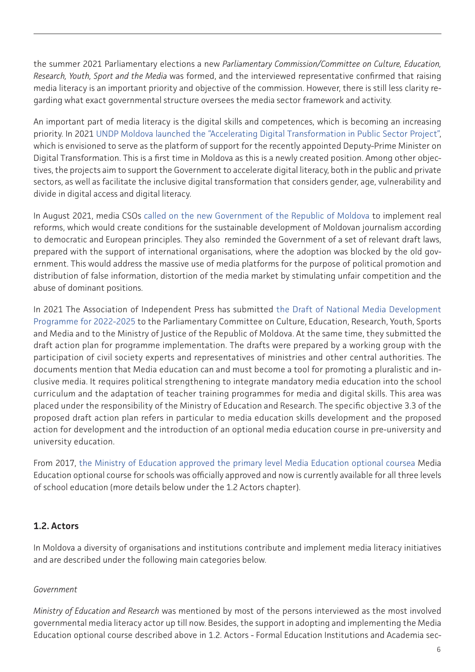<span id="page-5-0"></span>the summer 2021 Parliamentary elections a new *Parliamentary Commission/Committee on Culture, Education, Research, Youth, Sport and the Media* was formed, and the interviewed representative confirmed that raising media literacy is an important priority and objective of the commission. However, there is still less clarity regarding what exact governmental structure oversees the media sector framework and activity.

An important part of media literacy is the digital skills and competences, which is becoming an increasing priority. In 2021 [UNDP Moldova launched the "Accelerating Digital Transformation in Public Sector Project",](https://www.md.undp.org/content/moldova/en/home/projects/digital-moldova.html) which is envisioned to serve as the platform of support for the recently appointed Deputy-Prime Minister on Digital Transformation. This is a first time in Moldova as this is a newly created position. Among other objectives, the projects aim to support the Government to accelerate digital literacy, both in the public and private sectors, as well as facilitate the inclusive digital transformation that considers gender, age, vulnerability and divide in digital access and digital literacy.

In August 2021, media CSOs [called on the new Government of the Republic of Moldova](http://api.md/news/view/en-call-of-media-ngos-claiming-transparency-access-to-public-interest-information-and-real-reforms-to-facilitate-media-development-2600) to implement real reforms, which would create conditions for the sustainable development of Moldovan journalism according to democratic and European principles. They also reminded the Government of a set of relevant draft laws, prepared with the support of international organisations, where the adoption was blocked by the old government. This would address the massive use of media platforms for the purpose of political promotion and distribution of false information, distortion of the media market by stimulating unfair competition and the abuse of dominant positions.

In 2021 The Association of Independent Press has submitted [the Draft of National Media Development](http://api.md/upload/IT/Anexa_1_Program_M_M_XI_2021_FINAL.pdf) [Programme for 2022-2025](http://api.md/upload/IT/Anexa_1_Program_M_M_XI_2021_FINAL.pdf) to the Parliamentary Committee on Culture, Education, Research, Youth, Sports and Media and to the Ministry of Justice of the Republic of Moldova. At the same time, they submitted the draft action plan for programme implementation. The drafts were prepared by a working group with the participation of civil society experts and representatives of ministries and other central authorities. The documents mention that Media education can and must become a tool for promoting a pluralistic and inclusive media. It requires political strengthening to integrate mandatory media education into the school curriculum and the adaptation of teacher training programmes for media and digital skills. This area was placed under the responsibility of the Ministry of Education and Research. The specific objective 3.3 of the proposed draft action plan refers in particular to media education skills development and the proposed action for development and the introduction of an optional media education course in pre-university and university education.

From 2017, [the Ministry of Education approved the primary level Media Education optional coursea](https://mecc.gov.md/sites/default/files/ordin_671_din_01.08.17.pdf) Media Education optional course for schools was officially approved and now is currently available for all three levels of school education (more details below under the 1.2 Actors chapter).

# **1.2. Actors**

In Moldova a diversity of organisations and institutions contribute and implement media literacy initiatives and are described under the following main categories below.

### *Government*

*Ministry of Education and Research* was mentioned by most of the persons interviewed as the most involved governmental media literacy actor up till now. Besides, the support in adopting and implementing the Media Education optional course described above in 1.2. Actors - Formal Education Institutions and Academia sec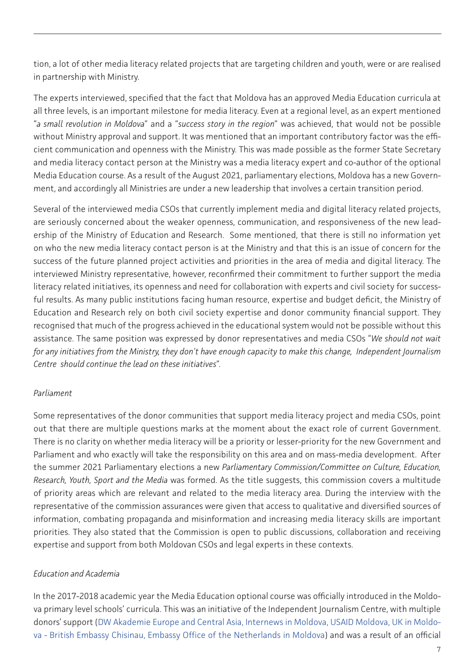tion, a lot of other media literacy related projects that are targeting children and youth, were or are realised in partnership with Ministry.

The experts interviewed, specified that the fact that Moldova has an approved Media Education curricula at all three levels, is an important milestone for media literacy. Even at a regional level, as an expert mentioned "*a small revolution in Moldova*" and a "*success story in the region*" was achieved, that would not be possible without Ministry approval and support. It was mentioned that an important contributory factor was the efficient communication and openness with the Ministry. This was made possible as the former State Secretary and media literacy contact person at the Ministry was a media literacy expert and co-author of the optional Media Education course. As a result of the August 2021, parliamentary elections, Moldova has a new Government, and accordingly all Ministries are under a new leadership that involves a certain transition period.

Several of the interviewed media CSOs that currently implement media and digital literacy related projects, are seriously concerned about the weaker openness, communication, and responsiveness of the new leadership of the Ministry of Education and Research. Some mentioned, that there is still no information yet on who the new media literacy contact person is at the Ministry and that this is an issue of concern for the success of the future planned project activities and priorities in the area of media and digital literacy. The interviewed Ministry representative, however, reconfirmed their commitment to further support the media literacy related initiatives, its openness and need for collaboration with experts and civil society for successful results. As many public institutions facing human resource, expertise and budget deficit, the Ministry of Education and Research rely on both civil society expertise and donor community financial support. They recognised that much of the progress achieved in the educational system would not be possible without this assistance. The same position was expressed by donor representatives and media CSOs "*We should not wait for any initiatives from the Ministry, they don't have enough capacity to make this change, Independent Journalism Centre should continue the lead on these initiatives*".

### *Parliament*

Some representatives of the donor communities that support media literacy project and media CSOs, point out that there are multiple questions marks at the moment about the exact role of current Government. There is no clarity on whether media literacy will be a priority or lesser-priority for the new Government and Parliament and who exactly will take the responsibility on this area and on mass-media development. After the summer 2021 Parliamentary elections a new *Parliamentary Commission/Committee on Culture, Education, Research, Youth, Sport and the Media* was formed. As the title suggests, this commission covers a multitude of priority areas which are relevant and related to the media literacy area. During the interview with the representative of the commission assurances were given that access to qualitative and diversified sources of information, combating propaganda and misinformation and increasing media literacy skills are important priorities. They also stated that the Commission is open to public discussions, collaboration and receiving expertise and support from both Moldovan CSOs and legal experts in these contexts.

### *Education and Academia*

In the 2017-2018 academic year the Media Education optional course was officially introduced in the Moldova primary level schools' curricula. This was an initiative of the Independent Journalism Centre, with multiple donors' support ([DW Akademie Europe and Central Asia, Internews in Moldova, USAID Moldova, UK in Moldo](https://www.facebook.com/USAIDMoldova?__cft__%255B0%255D=AZVXi3vW0YJKgFeqdrLHv1HQ1AGG-nsHQt9RkHQbcwpWCj4FtOl2MqOZyRwMIpGyEDssmCeIdtjNoPeRhikzda8pkcQlIIcmlw2NLukIE3pJTVo1Cq6GeoCtoJwd4NE_1tEGTlpkS-OQd7ULT9nW-HE1EEcdPsINAA_vt4FmmRnsPazSsR5Tx9ba5PcORYVV_f-tmNjv6UICFPE5VT--T33LBBncB_QTFAA95Tqts6oYKw&__tn__=-%255DK-R)[va - British Embassy Chisinau, Embassy Office of the Netherlands in Moldova](https://www.facebook.com/USAIDMoldova?__cft__%255B0%255D=AZVXi3vW0YJKgFeqdrLHv1HQ1AGG-nsHQt9RkHQbcwpWCj4FtOl2MqOZyRwMIpGyEDssmCeIdtjNoPeRhikzda8pkcQlIIcmlw2NLukIE3pJTVo1Cq6GeoCtoJwd4NE_1tEGTlpkS-OQd7ULT9nW-HE1EEcdPsINAA_vt4FmmRnsPazSsR5Tx9ba5PcORYVV_f-tmNjv6UICFPE5VT--T33LBBncB_QTFAA95Tqts6oYKw&__tn__=-%255DK-R)) and was a result of an official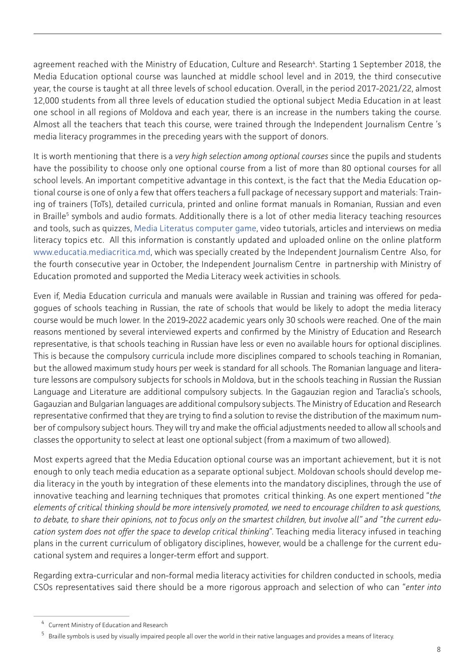agreement reached with the Ministry of Education, Culture and Research<sup>4</sup>. Starting 1 September 2018, the Media Education optional course was launched at middle school level and in 2019, the third consecutive year, the course is taught at all three levels of school education. Overall, in the period 2017-2021/22, almost 12,000 students from all three levels of education studied the optional subject Media Education in at least one school in all regions of Moldova and each year, there is an increase in the numbers taking the course. Almost all the teachers that teach this course, were trained through the Independent Journalism Centre 's media literacy programmes in the preceding years with the support of donors.

It is worth mentioning that there is a *very high selection among optional courses* since the pupils and students have the possibility to choose only one optional course from a list of more than 80 optional courses for all school levels. An important competitive advantage in this context, is the fact that the Media Education optional course is one of only a few that offers teachers a full package of necessary support and materials: Training of trainers (ToTs), detailed curricula, printed and online format manuals in Romanian, Russian and even in Braille<sup>5</sup> symbols and audio formats. Additionally there is a lot of other media literacy teaching resources and tools, such as quizzes, [Media Literatus computer game](https://media.am/literatus/?__cf_chl_jschl_tk__=6486976fafc271eb5fdc6f8200499288f2ffe822-1603219194-0-AYDgdPnk8dp9UTnmDAendKyx4kCMHolNZRzooMexRB9zaXkRQR6Opml65k5qVxkHcWUrfCbx3q0J93N7HMjNd2sZyT_gg5cnank5AjExw3bOoAqHAEFQpTFkUEjFdKcM0i9EiqDoN4cPbv7gqrzlzPzHN_5NYhKIlmyxqNRPOjfqY59O7xP3mAIWUWiJ8tEOmTGB5ObXZRJsVk8rP2rO4WbRGLB-fPFVYXIXADq5Ivuyc-0PDkdaT6RnNi003HtHt6T3fv0oczy9FgVCXQS1OrSm4hhv_EYqQKTSlgM-djjiMHKAl2m6K1yIpMNP9BorsMAAo1xx4_8bDdlvnO27L96eknExjlCCj_jDA6pVX5TM#ro), video tutorials, articles and interviews on media literacy topics etc. All this information is constantly updated and uploaded online on the online platform [www.educatia.mediacritica.md,](http://www.educatia.mediacritica.md) which was specially created by the Independent Journalism Centre Also, for the fourth consecutive year in October, the Independent Journalism Centre in partnership with Ministry of Education promoted and supported the Media Literacy week activities in schools.

Even if, Media Education curricula and manuals were available in Russian and training was offered for pedagogues of schools teaching in Russian, the rate of schools that would be likely to adopt the media literacy course would be much lower. In the 2019-2022 academic years only 30 schools were reached. One of the main reasons mentioned by several interviewed experts and confirmed by the Ministry of Education and Research representative, is that schools teaching in Russian have less or even no available hours for optional disciplines. This is because the compulsory curricula include more disciplines compared to schools teaching in Romanian, but the allowed maximum study hours per week is standard for all schools. The Romanian language and literature lessons are compulsory subjects for schools in Moldova, but in the schools teaching in Russian the Russian Language and Literature are additional compulsory subjects. In the Gagauzian region and Taraclia's schools, Gagauzian and Bulgarian languages are additional compulsory subjects. The Ministry of Education and Research representative confirmed that they are trying to find a solution to revise the distribution of the maximum number of compulsory subject hours. They will try and make the official adjustments needed to allow all schools and classes the opportunity to select at least one optional subject (from a maximum of two allowed).

Most experts agreed that the Media Education optional course was an important achievement, but it is not enough to only teach media education as a separate optional subject. Moldovan schools should develop media literacy in the youth by integration of these elements into the mandatory disciplines, through the use of innovative teaching and learning techniques that promotes critical thinking. As one expert mentioned "*the elements of critical thinking should be more intensively promoted, we need to encourage children to ask questions, to debate, to share their opinions, not to focus only on the smartest children, but involve all" and "the current education system does not offer the space to develop critical thinking*". Teaching media literacy infused in teaching plans in the current curriculum of obligatory disciplines, however, would be a challenge for the current educational system and requires a longer-term effort and support.

Regarding extra-curricular and non-formal media literacy activities for children conducted in schools, media CSOs representatives said there should be a more rigorous approach and selection of who can "*enter into* 

<sup>4</sup> Current Ministry of Education and Research

<sup>5</sup> Braille symbols is used by visually impaired people all over the world in their native languages and provides a means of literacy.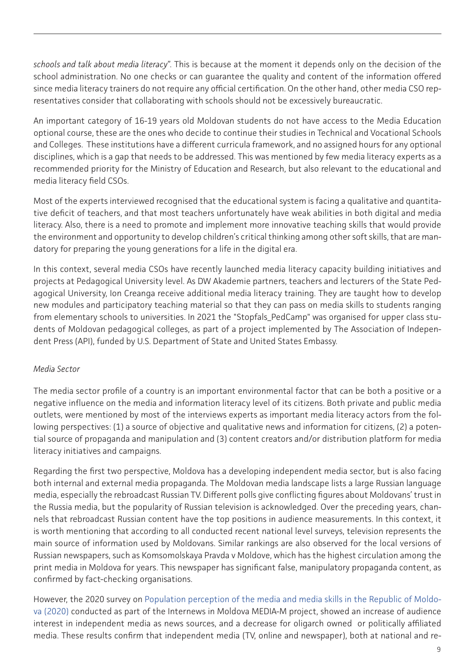*schools and talk about media literacy*". This is because at the moment it depends only on the decision of the school administration. No one checks or can guarantee the quality and content of the information offered since media literacy trainers do not require any official certification. On the other hand, other media CSO representatives consider that collaborating with schools should not be excessively bureaucratic.

An important category of 16-19 years old Moldovan students do not have access to the Media Education optional course, these are the ones who decide to continue their studies in Technical and Vocational Schools and Colleges. These institutions have a different curricula framework, and no assigned hours for any optional disciplines, which is a gap that needs to be addressed. This was mentioned by few media literacy experts as a recommended priority for the Ministry of Education and Research, but also relevant to the educational and media literacy field CSOs.

Most of the experts interviewed recognised that the educational system is facing a qualitative and quantitative deficit of teachers, and that most teachers unfortunately have weak abilities in both digital and media literacy. Also, there is a need to promote and implement more innovative teaching skills that would provide the environment and opportunity to develop children's critical thinking among other soft skills, that are mandatory for preparing the young generations for a life in the digital era.

In this context, several media CSOs have recently launched media literacy capacity building initiatives and projects at Pedagogical University level. As DW Akademie partners, teachers and lecturers of the State Pedagogical University, Ion Creanga receive additional media literacy training. They are taught how to develop new modules and participatory teaching material so that they can pass on media skills to students ranging from elementary schools to universities. In 2021 the "Stopfals\_PedCamp" was organised for upper class students of Moldovan pedagogical colleges, as part of a project implemented by The Association of Independent Press (API), funded by U.S. Department of State and United States Embassy.

# *Media Sector*

The media sector profile of a country is an important environmental factor that can be both a positive or a negative influence on the media and information literacy level of its citizens. Both private and public media outlets, were mentioned by most of the interviews experts as important media literacy actors from the following perspectives: (1) a source of objective and qualitative news and information for citizens, (2) a potential source of propaganda and manipulation and (3) content creators and/or distribution platform for media literacy initiatives and campaigns.

Regarding the first two perspective, Moldova has a developing independent media sector, but is also facing both internal and external media propaganda. The Moldovan media landscape lists a large Russian language media, especially the rebroadcast Russian TV. Different polls give conflicting figures about Moldovans' trust in the Russia media, but the popularity of Russian television is acknowledged. Over the preceding years, channels that rebroadcast Russian content have the top positions in audience measurements. In this context, it is worth mentioning that according to all conducted recent national level surveys, television represents the main source of information used by Moldovans. Similar rankings are also observed for the local versions of Russian newspapers, such as Komsomolskaya Pravda v Moldove, which has the highest circulation among the print media in Moldova for years. This newspaper has significant false, manipulatory propaganda content, as confirmed by fact-checking organisations.

However, the 2020 survey on [Population perception of the media and media skills in the Republic of Moldo](https://internews.md/wp-content/uploads/2021/10/INTERNEWS_Final-report_24.11.20_EN.pdf)[va \(2020\)](https://internews.md/wp-content/uploads/2021/10/INTERNEWS_Final-report_24.11.20_EN.pdf) conducted as part of the Internews in Moldova MEDIA-M project, showed an increase of audience interest in independent media as news sources, and a decrease for oligarch owned or politically affiliated media. These results confirm that independent media (TV, online and newspaper), both at national and re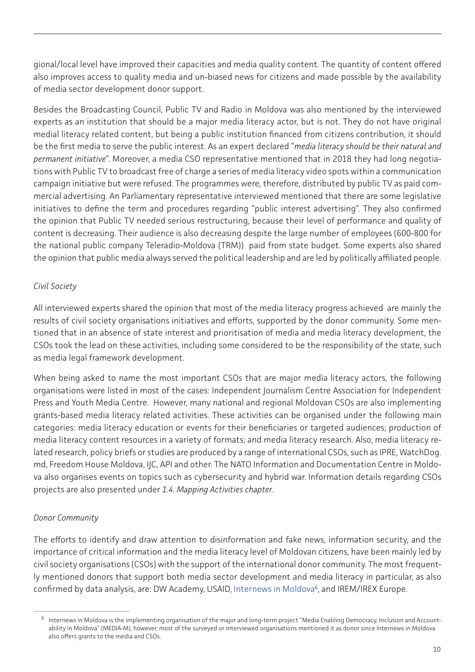gional/local level have improved their capacities and media quality content. The quantity of content offered also improves access to quality media and un-biased news for citizens and made possible by the availability of media sector development donor support.

Besides the Broadcasting Council, Public TV and Radio in Moldova was also mentioned by the interviewed experts as an institution that should be a major media literacy actor, but is not. They do not have original medial literacy related content, but being a public institution financed from citizens contribution, it should be the first media to serve the public interest. As an expert declared "*media literacy should be their natural and permanent initiative*". Moreover, a media CSO representative mentioned that in 2018 they had long negotiations with Public TV to broadcast free of charge a series of media literacy video spots within a communication campaign initiative but were refused. The programmes were, therefore, distributed by public TV as paid commercial advertising. An Parliamentary representative interviewed mentioned that there are some legislative initiatives to define the term and procedures regarding "public interest advertising". They also confirmed the opinion that Public TV needed serious restructuring, because their level of performance and quality of content is decreasing. Their audience is also decreasing despite the large number of employees (600-800 for the national public company Teleradio-Moldova (TRM)) paid from state budget. Some experts also shared the opinion that public media always served the political leadership and are led by politically affiliated people.

### *Civil Society*

All interviewed experts shared the opinion that most of the media literacy progress achieved are mainly the results of civil society organisations initiatives and efforts, supported by the donor community. Some mentioned that in an absence of state interest and prioritisation of media and media literacy development, the CSOs took the lead on these activities, including some considered to be the responsibility of the state, such as media legal framework development.

When being asked to name the most important CSOs that are major media literacy actors, the following organisations were listed in most of the cases: Independent Journalism Centre Association for Independent Press and Youth Media Centre. However, many national and regional Moldovan CSOs are also implementing grants-based media literacy related activities. These activities can be organised under the following main categories: media literacy education or events for their beneficiaries or targeted audiences; production of media literacy content resources in a variety of formats; and media literacy research. Also, media literacy related research, policy briefs or studies are produced by a range of international CSOs, such as IPRE, WatchDog. md, Freedom House Moldova, IJC, API and other. The NATO Information and Documentation Centre in Moldova also organises events on topics such as cybersecurity and hybrid war. Information details regarding CSOs projects are also presented under *1.4. Mapping Activities chapter*.

# *Donor Community*

The efforts to identify and draw attention to disinformation and fake news, information security, and the importance of critical information and the media literacy level of Moldovan citizens, have been mainly led by civil society organisations (CSOs) with the support of the international donor community. The most frequently mentioned donors that support both media sector development and media literacy in particular, as also confirmed by data analysis, are: DW Academy, USAID, Internews in Moldova<sup>6</sup>, and IREM/IREX Europe.

<sup>6</sup> Internews in Moldova is the implementing organisation of the major and long-term project "Media Enabling Democracy, Inclusion and Accountability in Moldova" (MEDIA-M), however, most of the surveyed or interviewed organisations mentioned it as donor since Internews in Moldova also offers grants to the media and CSOs.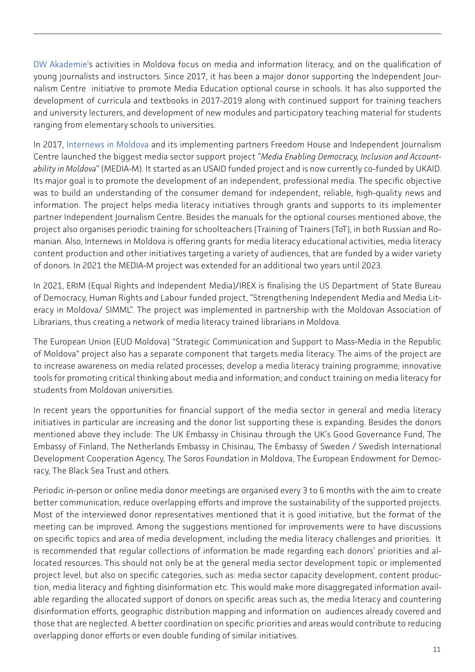[DW Akademie](https://www.dw.com/en/dw-akademie-in-moldova/a-18496765)'s activities in Moldova focus on media and information literacy, and on the qualification of young journalists and instructors. Since 2017, it has been a major donor supporting the Independent Journalism Centre initiative to promote Media Education optional course in schools. It has also supported the development of curricula and textbooks in 2017-2019 along with continued support for training teachers and university lecturers, and development of new modules and participatory teaching material for students ranging from elementary schools to universities.

In 2017, [Internews in Moldova](https://internews.md/) and its implementing partners Freedom House and Independent Journalism Centre launched the biggest media sector support project "*Media Enabling Democracy, Inclusion and Accountability in Moldova*" (MEDIA-M). It started as an USAID funded project and is now currently co-funded by UKAID. Its major goal is to promote the development of an independent, professional media. The specific objective was to build an understanding of the consumer demand for independent, reliable, high-quality news and information. The project helps media literacy initiatives through grants and supports to its implementer partner Independent Journalism Centre. Besides the manuals for the optional courses mentioned above, the project also organises periodic training for schoolteachers (Training of Trainers (ToT), in both Russian and Romanian. Also, Internews in Moldova is offering grants for media literacy educational activities, media literacy content production and other initiatives targeting a variety of audiences, that are funded by a wider variety of donors. In 2021 the MEDIA-M project was extended for an additional two years until 2023.

In 2021, ERIM (Equal Rights and Independent Media)/IREX is finalising the US Department of State Bureau of Democracy, Human Rights and Labour funded project, "Strengthening Independent Media and Media Literacy in Moldova/ SIMML". The project was implemented in partnership with the Moldovan Association of Librarians, thus creating a network of media literacy trained librarians in Moldova.

The European Union (EUD Moldova) "Strategic Communication and Support to Mass-Media in the Republic of Moldova" project also has a separate component that targets media literacy. The aims of the project are to increase awareness on media related processes; develop a media literacy training programme; innovative tools for promoting critical thinking about media and information; and conduct training on media literacy for students from Moldovan universities.

In recent years the opportunities for financial support of the media sector in general and media literacy initiatives in particular are increasing and the donor list supporting these is expanding. Besides the donors mentioned above they include: The UK Embassy in Chisinau through the UK's Good Governance Fund, The Embassy of Finland, The Netherlands Embassy in Chisinau, The Embassy of Sweden / Swedish International Development Cooperation Agency, The Soros Foundation in Moldova, The European Endowment for Democracy, The Black Sea Trust and others.

Periodic in-person or online media donor meetings are organised every 3 to 6 months with the aim to create better communication, reduce overlapping efforts and improve the sustainability of the supported projects. Most of the interviewed donor representatives mentioned that it is good initiative, but the format of the meeting can be improved. Among the suggestions mentioned for improvements were to have discussions on specific topics and area of media development, including the media literacy challenges and priorities. It is recommended that regular collections of information be made regarding each donors' priorities and allocated resources. This should not only be at the general media sector development topic or implemented project level, but also on specific categories, such as: media sector capacity development, content production, media literacy and fighting disinformation etc. This would make more disaggregated information available regarding the allocated support of donors on specific areas such as, the media literacy and countering disinformation efforts, geographic distribution mapping and information on audiences already covered and those that are neglected. A better coordination on specific priorities and areas would contribute to reducing overlapping donor efforts or even double funding of similar initiatives.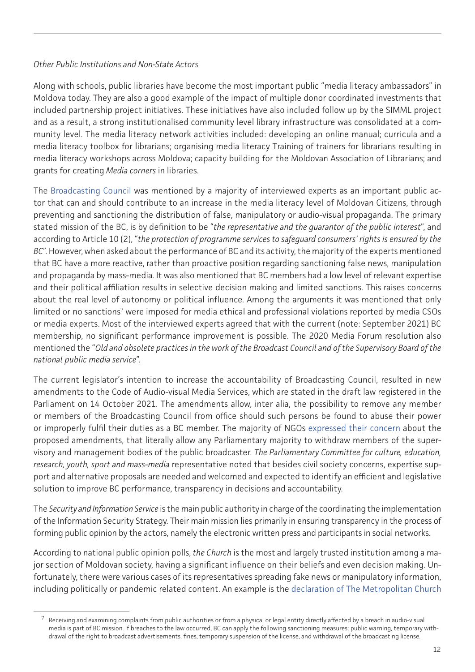### *Other Public Institutions and Non-State Actors*

Along with schools, public libraries have become the most important public "media literacy ambassadors" in Moldova today. They are also a good example of the impact of multiple donor coordinated investments that included partnership project initiatives. These initiatives have also included follow up by the SIMML project and as a result, a strong institutionalised community level library infrastructure was consolidated at a community level. The media literacy network activities included: developing an online manual; curricula and a media literacy toolbox for librarians; organising media literacy Training of trainers for librarians resulting in media literacy workshops across Moldova; capacity building for the Moldovan Association of Librarians; and grants for creating *Media corners* in libraries.

The [Broadcasting Council](http://www.audiovizual.md/) was mentioned by a majority of interviewed experts as an important public actor that can and should contribute to an increase in the media literacy level of Moldovan Citizens, through preventing and sanctioning the distribution of false, manipulatory or audio-visual propaganda. The primary stated mission of the BC, is by definition to be "*the representative and the guarantor of the public interest*", and according to Article 10 (2), "*the protection of programme services to safeguard consumers' rights is ensured by the BC*". However, when asked about the performance of BC and its activity, the majority of the experts mentioned that BC have a more reactive, rather than proactive position regarding sanctioning false news, manipulation and propaganda by mass-media. It was also mentioned that BC members had a low level of relevant expertise and their political affiliation results in selective decision making and limited sanctions. This raises concerns about the real level of autonomy or political influence. Among the arguments it was mentioned that only limited or no sanctions<sup>7</sup> were imposed for media ethical and professional violations reported by media CSOs or media experts. Most of the interviewed experts agreed that with the current (note: September 2021) BC membership, no significant performance improvement is possible. The 2020 Media Forum resolution also mentioned the "*Old and obsolete practices in the work of the Broadcast Council and of the Supervisory Board of the national public media service*".

The current legislator's intention to increase the accountability of Broadcasting Council, resulted in new amendments to the Code of Audio-visual Media Services, which are stated in the draft law registered in the Parliament on 14 October 2021. The amendments allow, inter alia, the possibility to remove any member or members of the Broadcasting Council from office should such persons be found to abuse their power or improperly fulfil their duties as a BC member. The majority of NGOs [expressed their concern](https://cji.md/en/media-ngos-are-concerned-about-legal-amendments-made-to-the-audiovisual-media-services-code/) about the proposed amendments, that literally allow any Parliamentary majority to withdraw members of the supervisory and management bodies of the public broadcaster. *The Parliamentary Committee for culture, education, research, youth, sport and mass-media* representative noted that besides civil society concerns, expertise support and alternative proposals are needed and welcomed and expected to identify an efficient and legislative solution to improve BC performance, transparency in decisions and accountability.

The *Security and Information Service* is the main public authority in charge of the coordinating the implementation of the Information Security Strategy. Their main mission lies primarily in ensuring transparency in the process of forming public opinion by the actors, namely the electronic written press and participants in social networks.

According to national public opinion polls, *the Church* is the most and largely trusted institution among a major section of Moldovan society, having a significant influence on their beliefs and even decision making. Unfortunately, there were various cases of its representatives spreading fake news or manipulatory information, including politically or pandemic related content. An example is the [declaration of The Metropolitan Church](https://www.zdg.md/en/?p=3328)

Receiving and examining complaints from public authorities or from a physical or legal entity directly affected by a breach in audio-visual media is part of BC mission. If breaches to the law occurred, BC can apply the following sanctioning measures: public warning, temporary withdrawal of the right to broadcast advertisements, fines, temporary suspension of the license, and withdrawal of the broadcasting license.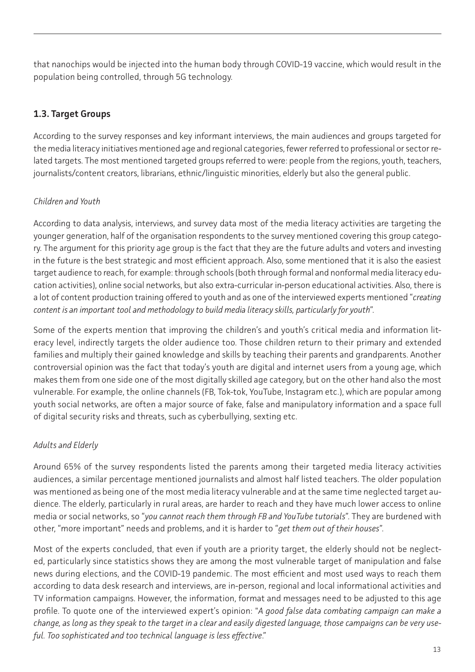<span id="page-12-0"></span>that nanochips would be injected into the human body through COVID-19 vaccine, which would result in the population being controlled, through 5G technology.

# **1.3. Target Groups**

According to the survey responses and key informant interviews, the main audiences and groups targeted for the media literacy initiatives mentioned age and regional categories, fewer referred to professional or sector related targets. The most mentioned targeted groups referred to were: people from the regions, youth, teachers, journalists/content creators, librarians, ethnic/linguistic minorities, elderly but also the general public.

# *Children and Youth*

According to data analysis, interviews, and survey data most of the media literacy activities are targeting the younger generation, half of the organisation respondents to the survey mentioned covering this group category. The argument for this priority age group is the fact that they are the future adults and voters and investing in the future is the best strategic and most efficient approach. Also, some mentioned that it is also the easiest target audience to reach, for example: through schools (both through formal and nonformal media literacy education activities), online social networks, but also extra-curricular in-person educational activities. Also, there is a lot of content production training offered to youth and as one of the interviewed experts mentioned "*creating content is an important tool and methodology to build media literacy skills, particularly for youth*".

Some of the experts mention that improving the children's and youth's critical media and information literacy level, indirectly targets the older audience too. Those children return to their primary and extended families and multiply their gained knowledge and skills by teaching their parents and grandparents. Another controversial opinion was the fact that today's youth are digital and internet users from a young age, which makes them from one side one of the most digitally skilled age category, but on the other hand also the most vulnerable. For example, the online channels (FB, Tok-tok, YouTube, Instagram etc.), which are popular among youth social networks, are often a major source of fake, false and manipulatory information and a space full of digital security risks and threats, such as cyberbullying, sexting etc.

# *Adults and Elderly*

Around 65% of the survey respondents listed the parents among their targeted media literacy activities audiences, a similar percentage mentioned journalists and almost half listed teachers. The older population was mentioned as being one of the most media literacy vulnerable and at the same time neglected target audience. The elderly, particularly in rural areas, are harder to reach and they have much lower access to online media or social networks, so "*you cannot reach them through FB and YouTube tutorials*". They are burdened with other, "more important" needs and problems, and it is harder to "*get them out of their houses*".

Most of the experts concluded, that even if youth are a priority target, the elderly should not be neglected, particularly since statistics shows they are among the most vulnerable target of manipulation and false news during elections, and the COVID-19 pandemic. The most efficient and most used ways to reach them according to data desk research and interviews, are in-person, regional and local informational activities and TV information campaigns. However, the information, format and messages need to be adjusted to this age profile. To quote one of the interviewed expert's opinion: "*A good false data combating campaign can make a change, as long as they speak to the target in a clear and easily digested language, those campaigns can be very useful. Too sophisticated and too technical language is less effective*."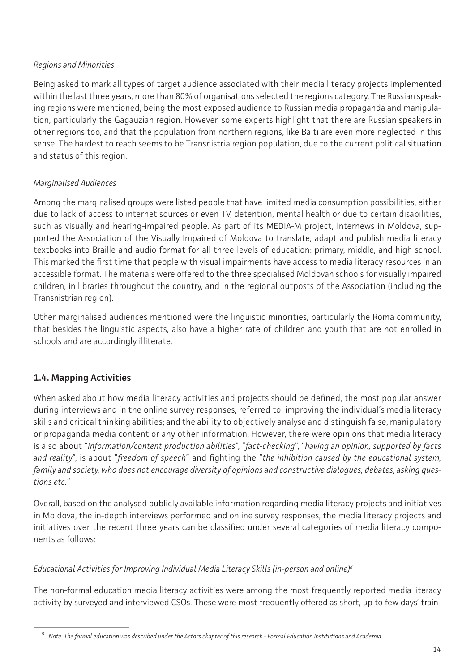### <span id="page-13-0"></span>*Regions and Minorities*

Being asked to mark all types of target audience associated with their media literacy projects implemented within the last three years, more than 80% of organisations selected the regions category. The Russian speaking regions were mentioned, being the most exposed audience to Russian media propaganda and manipulation, particularly the Gagauzian region. However, some experts highlight that there are Russian speakers in other regions too, and that the population from northern regions, like Balti are even more neglected in this sense. The hardest to reach seems to be Transnistria region population, due to the current political situation and status of this region.

# *Marginalised Audiences*

Among the marginalised groups were listed people that have limited media consumption possibilities, either due to lack of access to internet sources or even TV, detention, mental health or due to certain disabilities, such as visually and hearing-impaired people. As part of its MEDIA-M project, Internews in Moldova, supported the Association of the Visually Impaired of Moldova to translate, adapt and publish media literacy textbooks into Braille and audio format for all three levels of education: primary, middle, and high school. This marked the first time that people with visual impairments have access to media literacy resources in an accessible format. The materials were offered to the three specialised Moldovan schools for visually impaired children, in libraries throughout the country, and in the regional outposts of the Association (including the Transnistrian region).

Other marginalised audiences mentioned were the linguistic minorities, particularly the Roma community, that besides the linguistic aspects, also have a higher rate of children and youth that are not enrolled in schools and are accordingly illiterate.

# **1.4. Mapping Activities**

When asked about how media literacy activities and projects should be defined, the most popular answer during interviews and in the online survey responses, referred to: improving the individual's media literacy skills and critical thinking abilities; and the ability to objectively analyse and distinguish false, manipulatory or propaganda media content or any other information. However, there were opinions that media literacy is also about "*information/content production abilities*", "*fact-checking*", "*having an opinion, supported by facts and reality*", is about "*freedom of speech*" and fighting the "*the inhibition caused by the educational system, family and society, who does not encourage diversity of opinions and constructive dialogues, debates, asking questions etc.*"

Overall, based on the analysed publicly available information regarding media literacy projects and initiatives in Moldova, the in-depth interviews performed and online survey responses, the media literacy projects and initiatives over the recent three years can be classified under several categories of media literacy components as follows:

# *Educational Activities for Improving Individual Media Literacy Skills (in-person and online)8*

The non-formal education media literacy activities were among the most frequently reported media literacy activity by surveyed and interviewed CSOs. These were most frequently offered as short, up to few days' train-

<sup>8</sup> *Note: The formal education was described under the Actors chapter of this research - Formal Education Institutions and Academia.*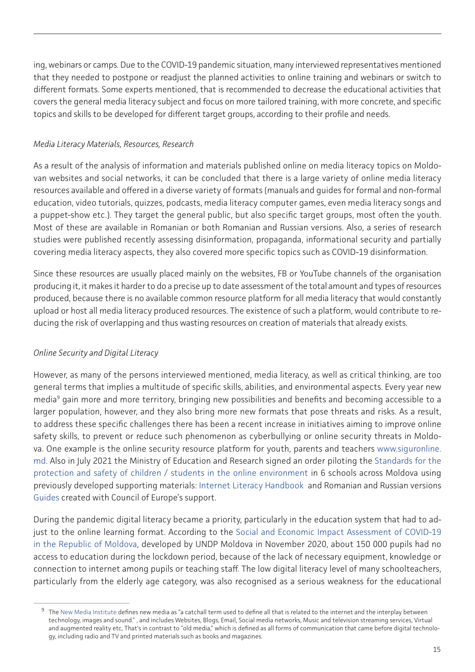ing, webinars or camps. Due to the COVID-19 pandemic situation, many interviewed representatives mentioned that they needed to postpone or readjust the planned activities to online training and webinars or switch to different formats. Some experts mentioned, that is recommended to decrease the educational activities that covers the general media literacy subject and focus on more tailored training, with more concrete, and specific topics and skills to be developed for different target groups, according to their profile and needs.

### *Media Literacy Materials, Resources, Research*

As a result of the analysis of information and materials published online on media literacy topics on Moldovan websites and social networks, it can be concluded that there is a large variety of online media literacy resources available and offered in a diverse variety of formats (manuals and guides for formal and non-formal education, video tutorials, quizzes, podcasts, media literacy computer games, even media literacy songs and a puppet-show etc.). They target the general public, but also specific target groups, most often the youth. Most of these are available in Romanian or both Romanian and Russian versions. Also, a series of research studies were published recently assessing disinformation, propaganda, informational security and partially covering media literacy aspects, they also covered more specific topics such as COVID-19 disinformation.

Since these resources are usually placed mainly on the websites, FB or YouTube channels of the organisation producing it, it makes it harder to do a precise up to date assessment of the total amount and types of resources produced, because there is no available common resource platform for all media literacy that would constantly upload or host all media literacy produced resources. The existence of such a platform, would contribute to reducing the risk of overlapping and thus wasting resources on creation of materials that already exists.

# *Online Security and Digital Literacy*

However, as many of the persons interviewed mentioned, media literacy, as well as critical thinking, are too general terms that implies a multitude of specific skills, abilities, and environmental aspects. Every year new media<sup>9</sup> gain more and more territory, bringing new possibilities and benefits and becoming accessible to a larger population, however, and they also bring more new formats that pose threats and risks. As a result, to address these specific challenges there has been a recent increase in initiatives aiming to improve online safety skills, to prevent or reduce such phenomenon as cyberbullying or online security threats in Moldova. One example is the online security resource platform for youth, parents and teachers [www.siguronline.](http://www.siguronline.md/) [md](http://www.siguronline.md/). Also in July 2021 the Ministry of Education and Research signed an order piloting the [Standards for the](https://mecc.gov.md/sites/default/files/ordin_aprobare_sso.pdf) [protection and safety of children / students in the online environment](https://mecc.gov.md/sites/default/files/ordin_aprobare_sso.pdf) in 6 schools across Moldova using previously developed supporting materials: [Internet Literacy Handbook](https://mecc.gov.md/sites/default/files/internet_handbook-ro.pdf.pdf) and Romanian and Russian versions [Guides](https://mecc.gov.md/ro/content/siguranta-copiilor-internet) created with Council of Europe's support.

During the pandemic digital literacy became a priority, particularly in the education system that had to ad-just to the online learning format. According to the [Social and Economic Impact Assessment of COVID-19](https://www.md.undp.org/content/dam/moldova/docs/SEIA/Report_SEIA-UNDP%2520eng.pdf) [in the Republic of Moldova,](https://www.md.undp.org/content/dam/moldova/docs/SEIA/Report_SEIA-UNDP%2520eng.pdf) developed by UNDP Moldova in November 2020, about 150 000 pupils had no access to education during the lockdown period, because of the lack of necessary equipment, knowledge or connection to internet among pupils or teaching staff. The low digital literacy level of many schoolteachers, particularly from the elderly age category, was also recognised as a serious weakness for the educational

The [New Media Institute](https://mynmi.net/about/) defines new media as "a catchall term used to define all that is related to the internet and the interplay between technology, images and sound." , and includes Websites, Blogs, Email, Social media networks, Music and television streaming services, Virtual and augmented reality etc, That's in contrast to "old media," which is defined as all forms of communication that came before digital technology, including radio and TV and printed materials such as books and magazines.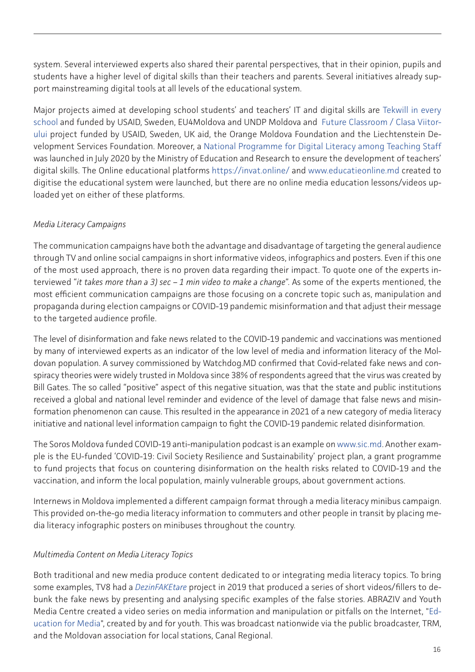system. Several interviewed experts also shared their parental perspectives, that in their opinion, pupils and students have a higher level of digital skills than their teachers and parents. Several initiatives already support mainstreaming digital tools at all levels of the educational system.

Major projects aimed at developing school students' and teachers' IT and digital skills are [Tekwill in every](https://tekwill.online/en/course-category/tifs) [school](https://tekwill.online/en/course-category/tifs) and funded by USAID, Sweden, EU4Moldova and UNDP Moldova and [Future Classroom / Clasa Viitor](https://www.clasaviitorului.md/despre-noi/)[ului](https://www.clasaviitorului.md/despre-noi/) project funded by USAID, Sweden, UK aid, the Orange Moldova Foundation and the Liechtenstein Development Services Foundation. Moreover, a [National Programme for Digital Literacy among Teaching Staff](https://mecc.gov.md/ro/content/ministerul-educatiei-culturii-si-cercetarii-lansat-programul-national-de-alfabetizare) was launched in July 2020 by the Ministry of Education and Research to ensure the development of teachers' digital skills. The Online educational platforms <https://invat.online/> and [www.educatieonline.md](http://www.educatieonline.md/) created to digitise the educational system were launched, but there are no online media education lessons/videos uploaded yet on either of these platforms.

# *Media Literacy Campaigns*

The communication campaigns have both the advantage and disadvantage of targeting the general audience through TV and online social campaigns in short informative videos, infographics and posters. Even if this one of the most used approach, there is no proven data regarding their impact. To quote one of the experts interviewed "*it takes more than a 3) sec – 1 min video to make a change*". As some of the experts mentioned, the most efficient communication campaigns are those focusing on a concrete topic such as, manipulation and propaganda during election campaigns or COVID-19 pandemic misinformation and that adjust their message to the targeted audience profile.

The level of disinformation and fake news related to the COVID-19 pandemic and vaccinations was mentioned by many of interviewed experts as an indicator of the low level of media and information literacy of the Moldovan population. A survey commissioned by Watchdog.MD confirmed that Covid-related fake news and conspiracy theories were widely trusted in Moldova since 38% of respondents agreed that the virus was created by Bill Gates. The so called "positive" aspect of this negative situation, was that the state and public institutions received a global and national level reminder and evidence of the level of damage that false news and misinformation phenomenon can cause. This resulted in the appearance in 2021 of a new category of media literacy initiative and national level information campaign to fight the COVID-19 pandemic related disinformation.

The Soros Moldova funded COVID-19 anti-manipulation podcast is an example on [www.sic.md.](http://www.sic.md) Another example is the EU-funded 'COVID-19: Civil Society Resilience and Sustainability' project plan, a grant programme to fund projects that focus on countering disinformation on the health risks related to COVID-19 and the vaccination, and inform the local population, mainly vulnerable groups, about government actions.

Internews in Moldova implemented a different campaign format through a media literacy minibus campaign. This provided on-the-go media literacy information to commuters and other people in transit by placing media literacy infographic posters on minibuses throughout the country.

### *Multimedia Content on Media Literacy Topics*

Both traditional and new media produce content dedicated to or integrating media literacy topics. To bring some examples, TV8 had a *[DezinFAKEtare](https://tv8.md/tv8-show-category/dezinfaketarea/)* project in 2019 that produced a series of short videos/fillers to debunk the fake news by presenting and analysing specific examples of the false stories. ABRAZIV and Youth Media Centre created a video series on media information and manipulation or pitfalls on the Internet, "[Ed](https://tineri.md/vezi-cele-zece-episoade-ale-serialului-lansat-de-abraziv-creatorii-iti-arata-laturile-ascunse-din-media/)[ucation for Media"](https://tineri.md/vezi-cele-zece-episoade-ale-serialului-lansat-de-abraziv-creatorii-iti-arata-laturile-ascunse-din-media/), created by and for youth. This was broadcast nationwide via the public broadcaster, TRM, and the Moldovan association for local stations, Canal Regional.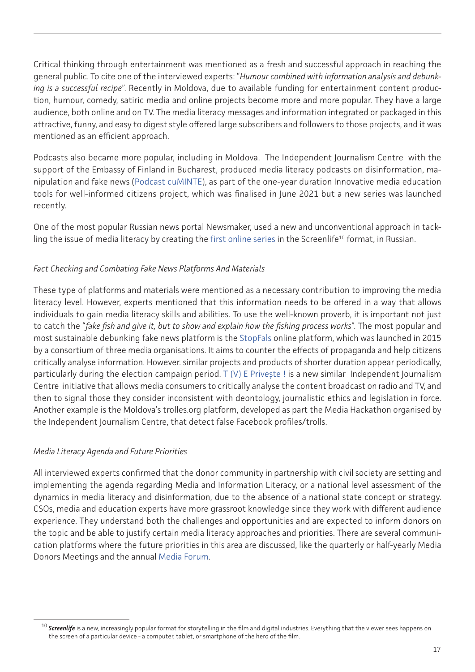Critical thinking through entertainment was mentioned as a fresh and successful approach in reaching the general public. To cite one of the interviewed experts: "*Humour combined with information analysis and debunking is a successful recipe*". Recently in Moldova, due to available funding for entertainment content production, humour, comedy, satiric media and online projects become more and more popular. They have a large audience, both online and on TV. The media literacy messages and information integrated or packaged in this attractive, funny, and easy to digest style offered large subscribers and followers to those projects, and it was mentioned as an efficient approach.

Podcasts also became more popular, including in Moldova. The Independent Journalism Centre with the support of the Embassy of Finland in Bucharest, produced media literacy podcasts on disinformation, manipulation and fake news ([Podcast cuMINTE](https://soundcloud.com/ana-s-rbu?fbclid=IwAR1TRGYWOavs6u2UY7MeSITdhakvq-ckAOCjsSscraddoc2ppRJZ13-4d_k)), as part of the one-year duration Innovative media education tools for well-informed citizens project, which was finalised in June 2021 but a new series was launched recently.

One of the most popular Russian news portal Newsmaker, used a new and unconventional approach in tackling the issue of media literacy by creating the [first online series](https://newsmaker.md/rus/novosti/prezident-bez-maski-pervyy-v-moldove-serial-v-formate-screenlife-epizod-1-video/) in the Screenlife<sup>10</sup> format, in Russian.

### *Fact Checking and Combating Fake News Platforms And Materials*

These type of platforms and materials were mentioned as a necessary contribution to improving the media literacy level. However, experts mentioned that this information needs to be offered in a way that allows individuals to gain media literacy skills and abilities. To use the well-known proverb, it is important not just to catch the "*fake fish and give it, but to show and explain how the fishing process works*". The most popular and most sustainable debunking fake news platform is the [StopFals](https://internews-my.sharepoint.com/personal/avacaru_internews_org/Documents/Desktop/ML%2520research%2520IJC/www,stopfals.md) online platform, which was launched in 2015 by a consortium of three media organisations. It aims to counter the effects of propaganda and help citizens critically analyse information. However. similar projects and products of shorter duration appear periodically, particularly during the election campaign period. [T \(V\) E Privește !](https://tvpriveste.mediacritica.md/) is a new similar Independent Journalism Centre initiative that allows media consumers to critically analyse the content broadcast on radio and TV, and then to signal those they consider inconsistent with deontology, journalistic ethics and legislation in force. Another example is the Moldova's trolles.org platform, developed as part the Media Hackathon organised by the Independent Journalism Centre, that detect false Facebook profiles/trolls.

### *Media Literacy Agenda and Future Priorities*

All interviewed experts confirmed that the donor community in partnership with civil society are setting and implementing the agenda regarding Media and Information Literacy, or a national level assessment of the dynamics in media literacy and disinformation, due to the absence of a national state concept or strategy. CSOs, media and education experts have more grassroot knowledge since they work with different audience experience. They understand both the challenges and opportunities and are expected to inform donors on the topic and be able to justify certain media literacy approaches and priorities. There are several communication platforms where the future priorities in this area are discussed, like the quarterly or half-yearly Media Donors Meetings and the annual [Media Forum](https://www.mediaforum.md/).

<sup>&</sup>lt;sup>10</sup> Screenlife is a new, increasingly popular format for storytelling in the film and digital industries. Everything that the viewer sees happens on the screen of a particular device - a computer, tablet, or smartphone of the hero of the film.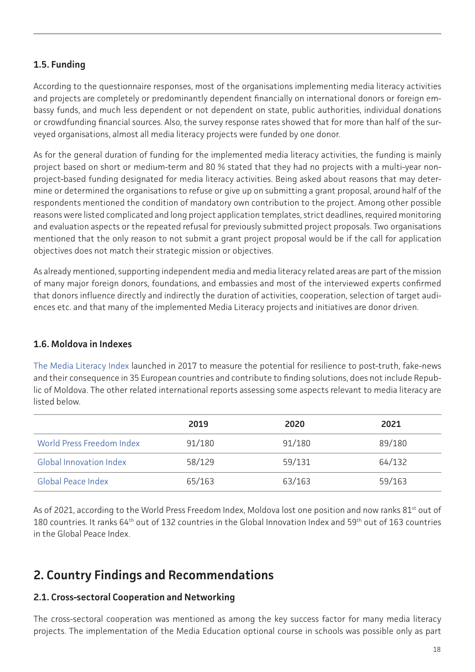# <span id="page-17-0"></span>**1.5. Funding**

According to the questionnaire responses, most of the organisations implementing media literacy activities and projects are completely or predominantly dependent financially on international donors or foreign embassy funds, and much less dependent or not dependent on state, public authorities, individual donations or crowdfunding financial sources. Also, the survey response rates showed that for more than half of the surveyed organisations, almost all media literacy projects were funded by one donor.

As for the general duration of funding for the implemented media literacy activities, the funding is mainly project based on short or medium-term and 80 % stated that they had no projects with a multi-year nonproject-based funding designated for media literacy activities. Being asked about reasons that may determine or determined the organisations to refuse or give up on submitting a grant proposal, around half of the respondents mentioned the condition of mandatory own contribution to the project. Among other possible reasons were listed complicated and long project application templates, strict deadlines, required monitoring and evaluation aspects or the repeated refusal for previously submitted project proposals. Two organisations mentioned that the only reason to not submit a grant project proposal would be if the call for application objectives does not match their strategic mission or objectives.

As already mentioned, supporting independent media and media literacy related areas are part of the mission of many major foreign donors, foundations, and embassies and most of the interviewed experts confirmed that donors influence directly and indirectly the duration of activities, cooperation, selection of target audiences etc. and that many of the implemented Media Literacy projects and initiatives are donor driven.

# **1.6. Moldova in Indexes**

[The Media Literacy Index](https://osis.bg/?p=3750&lang=en) launched in 2017 to measure the potential for resilience to post-truth, fake-news and their consequence in 35 European countries and contribute to finding solutions, does not include Republic of Moldova. The other related international reports assessing some aspects relevant to media literacy are listed below.

|                                | 2019   | 2020   | 2021   |
|--------------------------------|--------|--------|--------|
| World Press Freedom Index      | 91/180 | 91/180 | 89/180 |
| <b>Global Innovation Index</b> | 58/129 | 59/131 | 64/132 |
| <b>Global Peace Index</b>      | 65/163 | 63/163 | 59/163 |

As of 2021, according to the World Press Freedom Index, Moldova lost one position and now ranks 81<sup>st</sup> out of 180 countries. It ranks 64th out of 132 countries in the Global Innovation Index and 59th out of 163 countries in the Global Peace Index.

# **2. Country Findings and Recommendations**

# **2.1. Cross-sectoral Cooperation and Networking**

The cross-sectoral cooperation was mentioned as among the key success factor for many media literacy projects. The implementation of the Media Education optional course in schools was possible only as part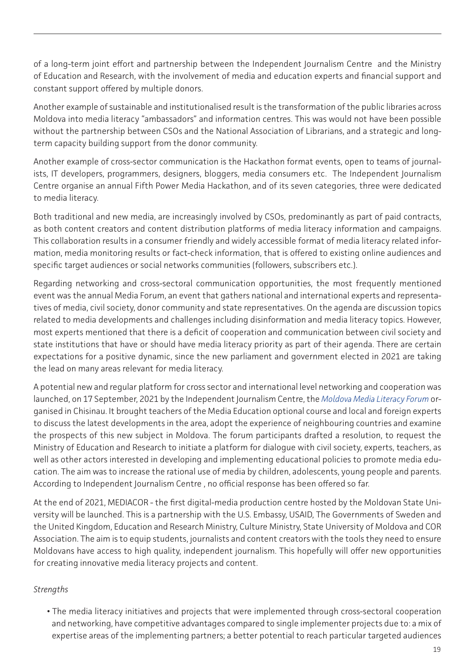of a long-term joint effort and partnership between the Independent Journalism Centre and the Ministry of Education and Research, with the involvement of media and education experts and financial support and constant support offered by multiple donors.

Another example of sustainable and institutionalised result is the transformation of the public libraries across Moldova into media literacy "ambassadors" and information centres. This was would not have been possible without the partnership between CSOs and the National Association of Librarians, and a strategic and longterm capacity building support from the donor community.

Another example of cross-sector communication is the Hackathon format events, open to teams of journalists, IT developers, programmers, designers, bloggers, media consumers etc. The Independent Journalism Centre organise an annual Fifth Power Media Hackathon, and of its seven categories, three were dedicated to media literacy.

Both traditional and new media, are increasingly involved by CSOs, predominantly as part of paid contracts, as both content creators and content distribution platforms of media literacy information and campaigns. This collaboration results in a consumer friendly and widely accessible format of media literacy related information, media monitoring results or fact-check information, that is offered to existing online audiences and specific target audiences or social networks communities (followers, subscribers etc.).

Regarding networking and cross-sectoral communication opportunities, the most frequently mentioned event was the annual Media Forum, an event that gathers national and international experts and representatives of media, civil society, donor community and state representatives. On the agenda are discussion topics related to media developments and challenges including disinformation and media literacy topics. However, most experts mentioned that there is a deficit of cooperation and communication between civil society and state institutions that have or should have media literacy priority as part of their agenda. There are certain expectations for a positive dynamic, since the new parliament and government elected in 2021 are taking the lead on many areas relevant for media literacy.

A potential new and regular platform for cross sector and international level networking and cooperation was launched, on 17 September, 2021 by the Independent Journalism Centre, the *[Moldova Media Literacy Forum](https://cji.md/en/cji-a-lansat-primul-forum-de-educatie-media-din-moldova-in-era-razboaielor-informationale-gandirea-critica-este-deosebit-de-actuala/)* organised in Chisinau. It brought teachers of the Media Education optional course and local and foreign experts to discuss the latest developments in the area, adopt the experience of neighbouring countries and examine the prospects of this new subject in Moldova. The forum participants drafted a resolution, to request the Ministry of Education and Research to initiate a platform for dialogue with civil society, experts, teachers, as well as other actors interested in developing and implementing educational policies to promote media education. The aim was to increase the rational use of media by children, adolescents, young people and parents. According to Independent Journalism Centre , no official response has been offered so far.

At the end of 2021, MEDIACOR - the first digital-media production centre hosted by the Moldovan State University will be launched. This is a partnership with the U.S. Embassy, USAID, The Governments of Sweden and the United Kingdom, Education and Research Ministry, Culture Ministry, State University of Moldova and COR Association. The aim is to equip students, journalists and content creators with the tools they need to ensure Moldovans have access to high quality, independent journalism. This hopefully will offer new opportunities for creating innovative media literacy projects and content.

# *Strengths*

**•** The media literacy initiatives and projects that were implemented through cross-sectoral cooperation and networking, have competitive advantages compared to single implementer projects due to: a mix of expertise areas of the implementing partners; a better potential to reach particular targeted audiences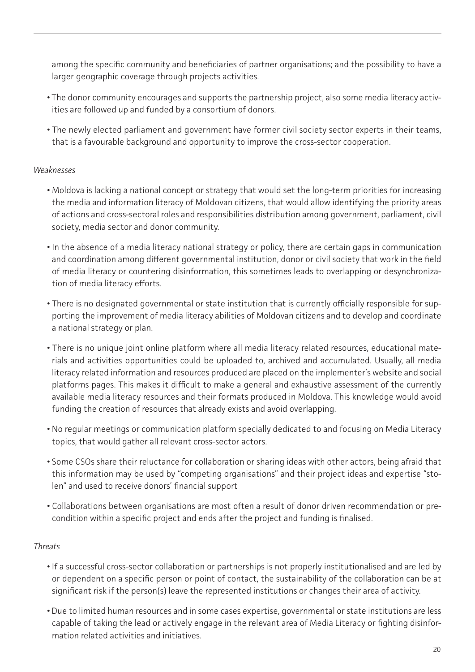among the specific community and beneficiaries of partner organisations; and the possibility to have a larger geographic coverage through projects activities.

- The donor community encourages and supports the partnership project, also some media literacy activities are followed up and funded by a consortium of donors.
- The newly elected parliament and government have former civil society sector experts in their teams, that is a favourable background and opportunity to improve the cross-sector cooperation.

### *Weaknesses*

- Moldova is lacking a national concept or strategy that would set the long-term priorities for increasing the media and information literacy of Moldovan citizens, that would allow identifying the priority areas of actions and cross-sectoral roles and responsibilities distribution among government, parliament, civil society, media sector and donor community.
- In the absence of a media literacy national strategy or policy, there are certain gaps in communication and coordination among different governmental institution, donor or civil society that work in the field of media literacy or countering disinformation, this sometimes leads to overlapping or desynchronization of media literacy efforts.
- There is no designated governmental or state institution that is currently officially responsible for supporting the improvement of media literacy abilities of Moldovan citizens and to develop and coordinate a national strategy or plan.
- There is no unique joint online platform where all media literacy related resources, educational materials and activities opportunities could be uploaded to, archived and accumulated. Usually, all media literacy related information and resources produced are placed on the implementer's website and social platforms pages. This makes it difficult to make a general and exhaustive assessment of the currently available media literacy resources and their formats produced in Moldova. This knowledge would avoid funding the creation of resources that already exists and avoid overlapping.
- No regular meetings or communication platform specially dedicated to and focusing on Media Literacy topics, that would gather all relevant cross-sector actors.
- Some CSOs share their reluctance for collaboration or sharing ideas with other actors, being afraid that this information may be used by "competing organisations" and their project ideas and expertise "stolen" and used to receive donors' financial support
- Collaborations between organisations are most often a result of donor driven recommendation or precondition within a specific project and ends after the project and funding is finalised.

### *Threats*

- If a successful cross-sector collaboration or partnerships is not properly institutionalised and are led by or dependent on a specific person or point of contact, the sustainability of the collaboration can be at significant risk if the person(s) leave the represented institutions or changes their area of activity.
- Due to limited human resources and in some cases expertise, governmental or state institutions are less capable of taking the lead or actively engage in the relevant area of Media Literacy or fighting disinformation related activities and initiatives.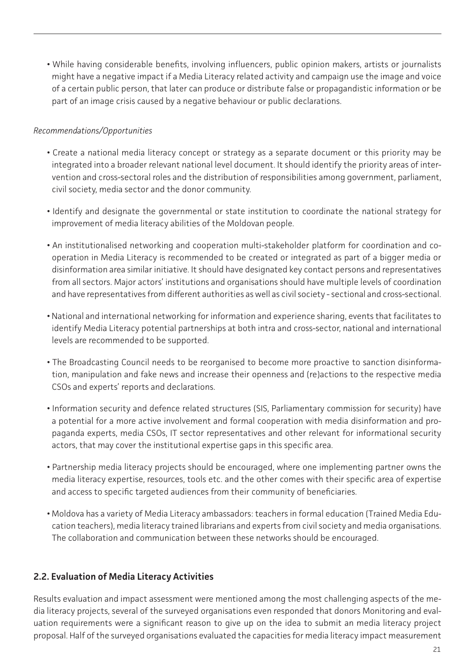<span id="page-20-0"></span>**•** While having considerable benefits, involving influencers, public opinion makers, artists or journalists might have a negative impact if a Media Literacy related activity and campaign use the image and voice of a certain public person, that later can produce or distribute false or propagandistic information or be part of an image crisis caused by a negative behaviour or public declarations.

### *Recommendations/Opportunities*

- Create a national media literacy concept or strategy as a separate document or this priority may be integrated into a broader relevant national level document. It should identify the priority areas of intervention and cross-sectoral roles and the distribution of responsibilities among government, parliament, civil society, media sector and the donor community.
- Identify and designate the governmental or state institution to coordinate the national strategy for improvement of media literacy abilities of the Moldovan people.
- An institutionalised networking and cooperation multi-stakeholder platform for coordination and cooperation in Media Literacy is recommended to be created or integrated as part of a bigger media or disinformation area similar initiative. It should have designated key contact persons and representatives from all sectors. Major actors' institutions and organisations should have multiple levels of coordination and have representatives from different authorities as well as civil society - sectional and cross-sectional.
- National and international networking for information and experience sharing, events that facilitates to identify Media Literacy potential partnerships at both intra and cross-sector, national and international levels are recommended to be supported.
- The Broadcasting Council needs to be reorganised to become more proactive to sanction disinformation, manipulation and fake news and increase their openness and (re)actions to the respective media CSOs and experts' reports and declarations.
- Information security and defence related structures (SIS, Parliamentary commission for security) have a potential for a more active involvement and formal cooperation with media disinformation and propaganda experts, media CSOs, IT sector representatives and other relevant for informational security actors, that may cover the institutional expertise gaps in this specific area.
- Partnership media literacy projects should be encouraged, where one implementing partner owns the media literacy expertise, resources, tools etc. and the other comes with their specific area of expertise and access to specific targeted audiences from their community of beneficiaries.
- Moldova has a variety of Media Literacy ambassadors: teachers in formal education (Trained Media Education teachers), media literacy trained librarians and experts from civil society and media organisations. The collaboration and communication between these networks should be encouraged.

# **2.2. Evaluation of Media Literacy Activities**

Results evaluation and impact assessment were mentioned among the most challenging aspects of the media literacy projects, several of the surveyed organisations even responded that donors Monitoring and evaluation requirements were a significant reason to give up on the idea to submit an media literacy project proposal. Half of the surveyed organisations evaluated the capacities for media literacy impact measurement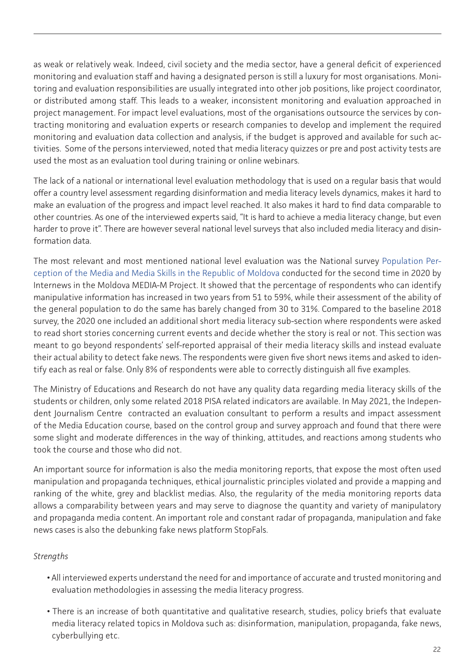as weak or relatively weak. Indeed, civil society and the media sector, have a general deficit of experienced monitoring and evaluation staff and having a designated person is still a luxury for most organisations. Monitoring and evaluation responsibilities are usually integrated into other job positions, like project coordinator, or distributed among staff. This leads to a weaker, inconsistent monitoring and evaluation approached in project management. For impact level evaluations, most of the organisations outsource the services by contracting monitoring and evaluation experts or research companies to develop and implement the required monitoring and evaluation data collection and analysis, if the budget is approved and available for such activities. Some of the persons interviewed, noted that media literacy quizzes or pre and post activity tests are used the most as an evaluation tool during training or online webinars.

The lack of a national or international level evaluation methodology that is used on a regular basis that would offer a country level assessment regarding disinformation and media literacy levels dynamics, makes it hard to make an evaluation of the progress and impact level reached. It also makes it hard to find data comparable to other countries. As one of the interviewed experts said, "It is hard to achieve a media literacy change, but even harder to prove it". There are however several national level surveys that also included media literacy and disinformation data.

The most relevant and most mentioned national level evaluation was the National survey [Population Per](https://internews.md/wp-content/uploads/2021/10/INTERNEWS_Final-report_24.11.20_EN.pdf)[ception of the Media and Media Skills in the Republic of Moldova](https://internews.md/wp-content/uploads/2021/10/INTERNEWS_Final-report_24.11.20_EN.pdf) conducted for the second time in 2020 by Internews in the Moldova MEDIA-M Project. It showed that the percentage of respondents who can identify manipulative information has increased in two years from 51 to 59%, while their assessment of the ability of the general population to do the same has barely changed from 30 to 31%. Compared to the baseline 2018 survey, the 2020 one included an additional short media literacy sub-section where respondents were asked to read short stories concerning current events and decide whether the story is real or not. This section was meant to go beyond respondents' self-reported appraisal of their media literacy skills and instead evaluate their actual ability to detect fake news. The respondents were given five short news items and asked to identify each as real or false. Only 8% of respondents were able to correctly distinguish all five examples.

The Ministry of Educations and Research do not have any quality data regarding media literacy skills of the students or children, only some related 2018 PISA related indicators are available. In May 2021, the Independent Journalism Centre contracted an evaluation consultant to perform a results and impact assessment of the Media Education course, based on the control group and survey approach and found that there were some slight and moderate differences in the way of thinking, attitudes, and reactions among students who took the course and those who did not.

An important source for information is also the media monitoring reports, that expose the most often used manipulation and propaganda techniques, ethical journalistic principles violated and provide a mapping and ranking of the white, grey and blacklist medias. Also, the regularity of the media monitoring reports data allows a comparability between years and may serve to diagnose the quantity and variety of manipulatory and propaganda media content. An important role and constant radar of propaganda, manipulation and fake news cases is also the debunking fake news platform StopFals.

# *Strengths*

- All interviewed experts understand the need for and importance of accurate and trusted monitoring and evaluation methodologies in assessing the media literacy progress.
- There is an increase of both quantitative and qualitative research, studies, policy briefs that evaluate media literacy related topics in Moldova such as: disinformation, manipulation, propaganda, fake news, cyberbullying etc.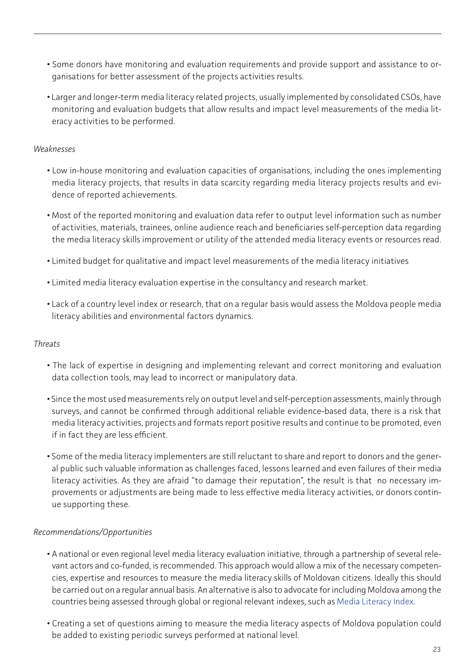- Some donors have monitoring and evaluation requirements and provide support and assistance to organisations for better assessment of the projects activities results.
- Larger and longer-term media literacy related projects, usually implemented by consolidated CSOs, have monitoring and evaluation budgets that allow results and impact level measurements of the media literacy activities to be performed.

### *Weaknesses*

- Low in-house monitoring and evaluation capacities of organisations, including the ones implementing media literacy projects, that results in data scarcity regarding media literacy projects results and evidence of reported achievements.
- Most of the reported monitoring and evaluation data refer to output level information such as number of activities, materials, trainees, online audience reach and beneficiaries self-perception data regarding the media literacy skills improvement or utility of the attended media literacy events or resources read.
- Limited budget for qualitative and impact level measurements of the media literacy initiatives
- Limited media literacy evaluation expertise in the consultancy and research market.
- Lack of a country level index or research, that on a regular basis would assess the Moldova people media literacy abilities and environmental factors dynamics.

# *Threats*

- The lack of expertise in designing and implementing relevant and correct monitoring and evaluation data collection tools, may lead to incorrect or manipulatory data.
- Since the most used measurements rely on output level and self-perception assessments, mainly through surveys, and cannot be confirmed through additional reliable evidence-based data, there is a risk that media literacy activities, projects and formats report positive results and continue to be promoted, even if in fact they are less efficient.
- Some of the media literacy implementers are still reluctant to share and report to donors and the general public such valuable information as challenges faced, lessons learned and even failures of their media literacy activities. As they are afraid "to damage their reputation", the result is that no necessary improvements or adjustments are being made to less effective media literacy activities, or donors continue supporting these.

### *Recommendations/Opportunities*

- A national or even regional level media literacy evaluation initiative, through a partnership of several relevant actors and co-funded, is recommended. This approach would allow a mix of the necessary competencies, expertise and resources to measure the media literacy skills of Moldovan citizens. Ideally this should be carried out on a regular annual basis. An alternative is also to advocate for including Moldova among the countries being assessed through global or regional relevant indexes, such as [Media Literacy Index](https://osis.bg/?p=3750&lang=en).
- Creating a set of questions aiming to measure the media literacy aspects of Moldova population could be added to existing periodic surveys performed at national level.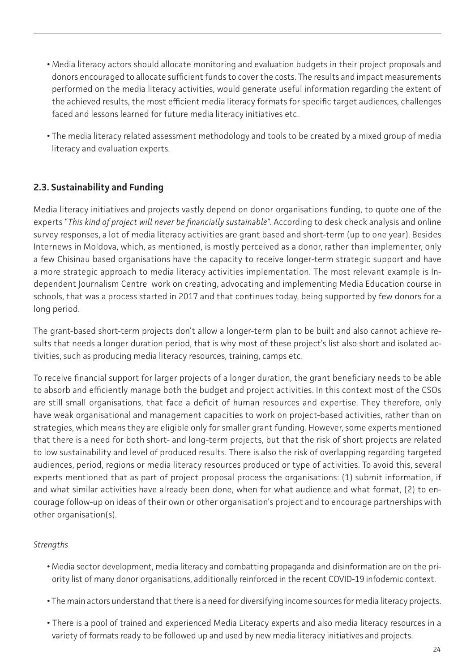- <span id="page-23-0"></span>**•** Media literacy actors should allocate monitoring and evaluation budgets in their project proposals and donors encouraged to allocate sufficient funds to cover the costs. The results and impact measurements performed on the media literacy activities, would generate useful information regarding the extent of the achieved results, the most efficient media literacy formats for specific target audiences, challenges faced and lessons learned for future media literacy initiatives etc.
- The media literacy related assessment methodology and tools to be created by a mixed group of media literacy and evaluation experts.

# **2.3. Sustainability and Funding**

Media literacy initiatives and projects vastly depend on donor organisations funding, to quote one of the experts "*This kind of project will never be financially sustainable*". According to desk check analysis and online survey responses, a lot of media literacy activities are grant based and short-term (up to one year). Besides Internews in Moldova, which, as mentioned, is mostly perceived as a donor, rather than implementer, only a few Chisinau based organisations have the capacity to receive longer-term strategic support and have a more strategic approach to media literacy activities implementation. The most relevant example is Independent Journalism Centre work on creating, advocating and implementing Media Education course in schools, that was a process started in 2017 and that continues today, being supported by few donors for a long period.

The grant-based short-term projects don't allow a longer-term plan to be built and also cannot achieve results that needs a longer duration period, that is why most of these project's list also short and isolated activities, such as producing media literacy resources, training, camps etc.

To receive financial support for larger projects of a longer duration, the grant beneficiary needs to be able to absorb and efficiently manage both the budget and project activities. In this context most of the CSOs are still small organisations, that face a deficit of human resources and expertise. They therefore, only have weak organisational and management capacities to work on project-based activities, rather than on strategies, which means they are eligible only for smaller grant funding. However, some experts mentioned that there is a need for both short- and long-term projects, but that the risk of short projects are related to low sustainability and level of produced results. There is also the risk of overlapping regarding targeted audiences, period, regions or media literacy resources produced or type of activities. To avoid this, several experts mentioned that as part of project proposal process the organisations: (1) submit information, if and what similar activities have already been done, when for what audience and what format, (2) to encourage follow-up on ideas of their own or other organisation's project and to encourage partnerships with other organisation(s).

### *Strengths*

- Media sector development, media literacy and combatting propaganda and disinformation are on the priority list of many donor organisations, additionally reinforced in the recent COVID-19 infodemic context.
- The main actors understand that there is a need for diversifying income sources for media literacy projects.
- There is a pool of trained and experienced Media Literacy experts and also media literacy resources in a variety of formats ready to be followed up and used by new media literacy initiatives and projects.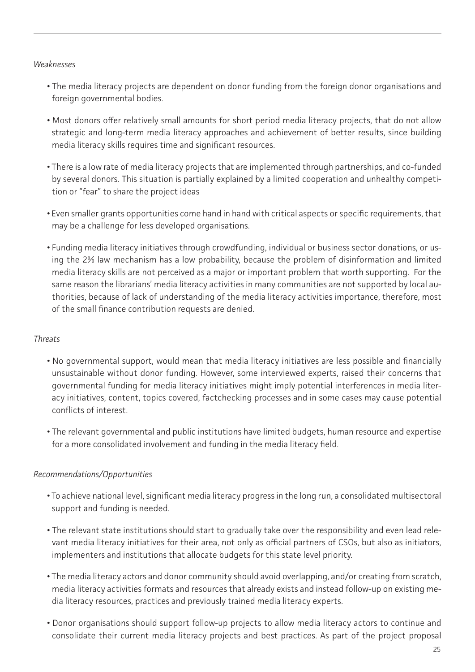#### *Weaknesses*

- The media literacy projects are dependent on donor funding from the foreign donor organisations and foreign governmental bodies.
- Most donors offer relatively small amounts for short period media literacy projects, that do not allow strategic and long-term media literacy approaches and achievement of better results, since building media literacy skills requires time and significant resources.
- There is a low rate of media literacy projects that are implemented through partnerships, and co-funded by several donors. This situation is partially explained by a limited cooperation and unhealthy competition or "fear" to share the project ideas
- Even smaller grants opportunities come hand in hand with critical aspects or specific requirements, that may be a challenge for less developed organisations.
- Funding media literacy initiatives through crowdfunding, individual or business sector donations, or using the 2% law mechanism has a low probability, because the problem of disinformation and limited media literacy skills are not perceived as a major or important problem that worth supporting. For the same reason the librarians' media literacy activities in many communities are not supported by local authorities, because of lack of understanding of the media literacy activities importance, therefore, most of the small finance contribution requests are denied.

### *Threats*

- No governmental support, would mean that media literacy initiatives are less possible and financially unsustainable without donor funding. However, some interviewed experts, raised their concerns that governmental funding for media literacy initiatives might imply potential interferences in media literacy initiatives, content, topics covered, factchecking processes and in some cases may cause potential conflicts of interest.
- The relevant governmental and public institutions have limited budgets, human resource and expertise for a more consolidated involvement and funding in the media literacy field.

# *Recommendations/Opportunities*

- To achieve national level, significant media literacy progress in the long run, a consolidated multisectoral support and funding is needed.
- The relevant state institutions should start to gradually take over the responsibility and even lead relevant media literacy initiatives for their area, not only as official partners of CSOs, but also as initiators, implementers and institutions that allocate budgets for this state level priority.
- The media literacy actors and donor community should avoid overlapping, and/or creating from scratch, media literacy activities formats and resources that already exists and instead follow-up on existing media literacy resources, practices and previously trained media literacy experts.
- Donor organisations should support follow-up projects to allow media literacy actors to continue and consolidate their current media literacy projects and best practices. As part of the project proposal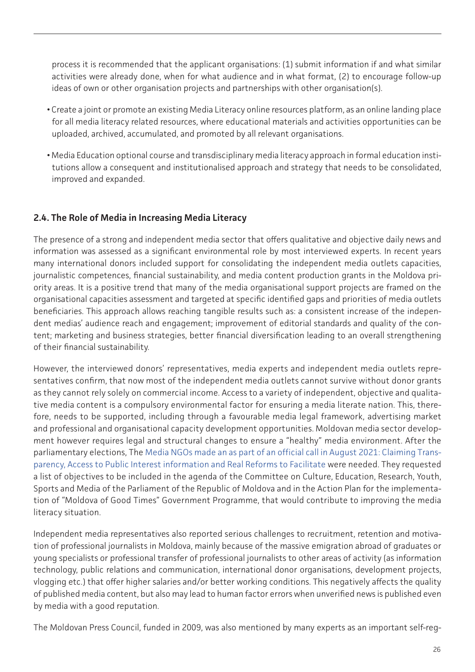<span id="page-25-0"></span>process it is recommended that the applicant organisations: (1) submit information if and what similar activities were already done, when for what audience and in what format, (2) to encourage follow-up ideas of own or other organisation projects and partnerships with other organisation(s).

- Create a joint or promote an existing Media Literacy online resources platform, as an online landing place for all media literacy related resources, where educational materials and activities opportunities can be uploaded, archived, accumulated, and promoted by all relevant organisations.
- Media Education optional course and transdisciplinary media literacy approach in formal education institutions allow a consequent and institutionalised approach and strategy that needs to be consolidated, improved and expanded.

# **2.4. The Role of Media in Increasing Media Literacy**

The presence of a strong and independent media sector that offers qualitative and objective daily news and information was assessed as a significant environmental role by most interviewed experts. In recent years many international donors included support for consolidating the independent media outlets capacities, journalistic competences, financial sustainability, and media content production grants in the Moldova priority areas. It is a positive trend that many of the media organisational support projects are framed on the organisational capacities assessment and targeted at specific identified gaps and priorities of media outlets beneficiaries. This approach allows reaching tangible results such as: a consistent increase of the independent medias' audience reach and engagement; improvement of editorial standards and quality of the content; marketing and business strategies, better financial diversification leading to an overall strengthening of their financial sustainability.

However, the interviewed donors' representatives, media experts and independent media outlets representatives confirm, that now most of the independent media outlets cannot survive without donor grants as they cannot rely solely on commercial income. Access to a variety of independent, objective and qualitative media content is a compulsory environmental factor for ensuring a media literate nation. This, therefore, needs to be supported, including through a favourable media legal framework, advertising market and professional and organisational capacity development opportunities. Moldovan media sector development however requires legal and structural changes to ensure a "healthy" media environment. After the parliamentary elections, The [Media NGOs made an](http://api.md/news/view/en-call-of-media-ngos-claiming-transparency-access-to-public-interest-information-and-real-reforms-to-facilitate-media-development-2600) [as part of an official](http://api.md/news/view/en-call-of-media-ngos-claiming-transparency-access-to-public-interest-information-and-real-reforms-to-facilitate-media-development-2600) [call in August 2021: Claiming Trans](http://api.md/news/view/en-call-of-media-ngos-claiming-transparency-access-to-public-interest-information-and-real-reforms-to-facilitate-media-development-2600)[parency, Access to Public Interest information and Real Reforms to Facilitate](http://api.md/news/view/en-call-of-media-ngos-claiming-transparency-access-to-public-interest-information-and-real-reforms-to-facilitate-media-development-2600) were needed. They requested a list of objectives to be included in the agenda of the Committee on Culture, Education, Research, Youth, Sports and Media of the Parliament of the Republic of Moldova and in the Action Plan for the implementation of "Moldova of Good Times" Government Programme, that would contribute to improving the media literacy situation.

Independent media representatives also reported serious challenges to recruitment, retention and motivation of professional journalists in Moldova, mainly because of the massive emigration abroad of graduates or young specialists or professional transfer of professional journalists to other areas of activity (as information technology, public relations and communication, international donor organisations, development projects, vlogging etc.) that offer higher salaries and/or better working conditions. This negatively affects the quality of published media content, but also may lead to human factor errors when unverified news is published even by media with a good reputation.

The Moldovan Press Council, funded in 2009, was also mentioned by many experts as an important self-reg-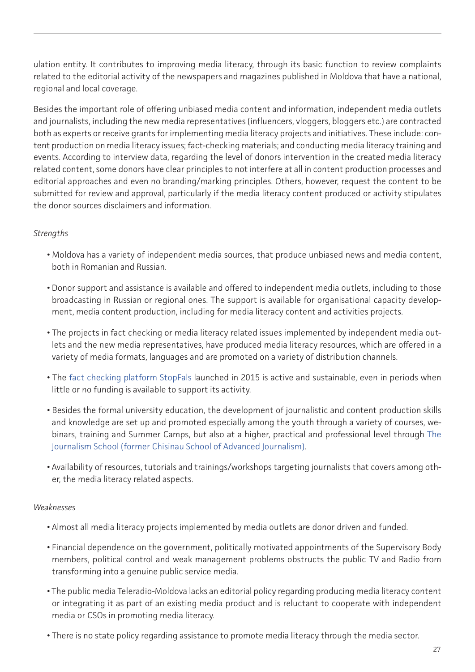ulation entity. It contributes to improving media literacy, through its basic function to review complaints related to the editorial activity of the newspapers and magazines published in Moldova that have a national, regional and local coverage.

Besides the important role of offering unbiased media content and information, independent media outlets and journalists, including the new media representatives (influencers, vloggers, bloggers etc.) are contracted both as experts or receive grants for implementing media literacy projects and initiatives. These include: content production on media literacy issues; fact-checking materials; and conducting media literacy training and events. According to interview data, regarding the level of donors intervention in the created media literacy related content, some donors have clear principles to not interfere at all in content production processes and editorial approaches and even no branding/marking principles. Others, however, request the content to be submitted for review and approval, particularly if the media literacy content produced or activity stipulates the donor sources disclaimers and information.

### *Strengths*

- Moldova has a variety of independent media sources, that produce unbiased news and media content, both in Romanian and Russian.
- Donor support and assistance is available and offered to independent media outlets, including to those broadcasting in Russian or regional ones. The support is available for organisational capacity development, media content production, including for media literacy content and activities projects.
- The projects in fact checking or media literacy related issues implemented by independent media outlets and the new media representatives, have produced media literacy resources, which are offered in a variety of media formats, languages and are promoted on a variety of distribution channels.
- The [fact checking platform StopFals](https://stopfals.md/) launched in 2015 is active and sustainable, even in periods when little or no funding is available to support its activity.
- Besides the formal university education, the development of journalistic and content production skills and knowledge are set up and promoted especially among the youth through a variety of courses, webinars, training and Summer Camps, but also at a higher, practical and professional level through [The](http://www.scoaladejurnalism.md/?q=en) [Journalism School \(former Chisinau School of Advanced Journalism\).](http://www.scoaladejurnalism.md/?q=en)
- Availability of resources, tutorials and trainings/workshops targeting journalists that covers among other, the media literacy related aspects.

### *Weaknesses*

- Almost all media literacy projects implemented by media outlets are donor driven and funded.
- Financial dependence on the government, politically motivated appointments of the Supervisory Body members, political control and weak management problems obstructs the public TV and Radio from transforming into a genuine public service media.
- The public media Teleradio-Moldova lacks an editorial policy regarding producing media literacy content or integrating it as part of an existing media product and is reluctant to cooperate with independent media or CSOs in promoting media literacy.
- There is no state policy regarding assistance to promote media literacy through the media sector.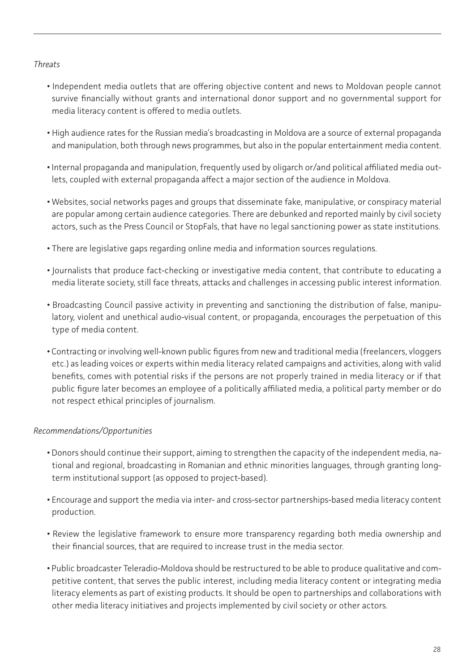### *Threats*

- Independent media outlets that are offering objective content and news to Moldovan people cannot survive financially without grants and international donor support and no governmental support for media literacy content is offered to media outlets.
- High audience rates for the Russian media's broadcasting in Moldova are a source of external propaganda and manipulation, both through news programmes, but also in the popular entertainment media content.
- Internal propaganda and manipulation, frequently used by oligarch or/and political affiliated media outlets, coupled with external propaganda affect a major section of the audience in Moldova.
- Websites, social networks pages and groups that disseminate fake, manipulative, or conspiracy material are popular among certain audience categories. There are debunked and reported mainly by civil society actors, such as the Press Council or StopFals, that have no legal sanctioning power as state institutions.
- There are legislative gaps regarding online media and information sources regulations.
- Journalists that produce fact-checking or investigative media content, that contribute to educating a media literate society, still face threats, attacks and challenges in accessing public interest information.
- Broadcasting Council passive activity in preventing and sanctioning the distribution of false, manipulatory, violent and unethical audio-visual content, or propaganda, encourages the perpetuation of this type of media content.
- Contracting or involving well-known public figures from new and traditional media (freelancers, vloggers etc.) as leading voices or experts within media literacy related campaigns and activities, along with valid benefits, comes with potential risks if the persons are not properly trained in media literacy or if that public figure later becomes an employee of a politically affiliated media, a political party member or do not respect ethical principles of journalism.

# *Recommendations/Opportunities*

- Donors should continue their support, aiming to strengthen the capacity of the independent media, national and regional, broadcasting in Romanian and ethnic minorities languages, through granting longterm institutional support (as opposed to project-based).
- Encourage and support the media via inter- and cross-sector partnerships-based media literacy content production.
- Review the legislative framework to ensure more transparency regarding both media ownership and their financial sources, that are required to increase trust in the media sector.
- Public broadcaster Teleradio-Moldova should be restructured to be able to produce qualitative and competitive content, that serves the public interest, including media literacy content or integrating media literacy elements as part of existing products. It should be open to partnerships and collaborations with other media literacy initiatives and projects implemented by civil society or other actors.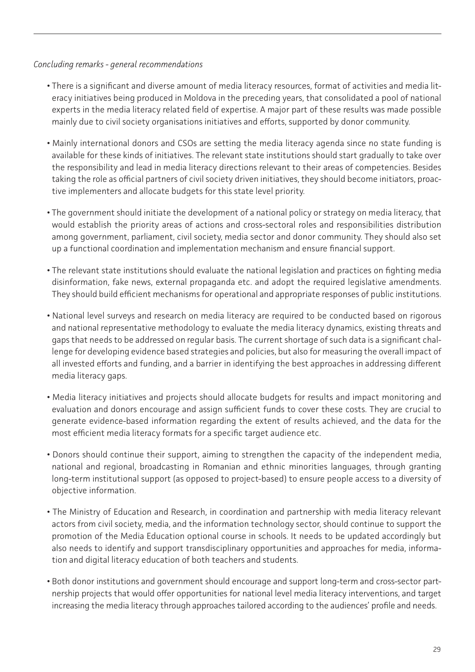### *Concluding remarks - general recommendations*

- There is a significant and diverse amount of media literacy resources, format of activities and media literacy initiatives being produced in Moldova in the preceding years, that consolidated a pool of national experts in the media literacy related field of expertise. A major part of these results was made possible mainly due to civil society organisations initiatives and efforts, supported by donor community.
- Mainly international donors and CSOs are setting the media literacy agenda since no state funding is available for these kinds of initiatives. The relevant state institutions should start gradually to take over the responsibility and lead in media literacy directions relevant to their areas of competencies. Besides taking the role as official partners of civil society driven initiatives, they should become initiators, proactive implementers and allocate budgets for this state level priority.
- The government should initiate the development of a national policy or strategy on media literacy, that would establish the priority areas of actions and cross-sectoral roles and responsibilities distribution among government, parliament, civil society, media sector and donor community. They should also set up a functional coordination and implementation mechanism and ensure financial support.
- The relevant state institutions should evaluate the national legislation and practices on fighting media disinformation, fake news, external propaganda etc. and adopt the required legislative amendments. They should build efficient mechanisms for operational and appropriate responses of public institutions.
- National level surveys and research on media literacy are required to be conducted based on rigorous and national representative methodology to evaluate the media literacy dynamics, existing threats and gaps that needs to be addressed on regular basis. The current shortage of such data is a significant challenge for developing evidence based strategies and policies, but also for measuring the overall impact of all invested efforts and funding, and a barrier in identifying the best approaches in addressing different media literacy gaps.
- Media literacy initiatives and projects should allocate budgets for results and impact monitoring and evaluation and donors encourage and assign sufficient funds to cover these costs. They are crucial to generate evidence-based information regarding the extent of results achieved, and the data for the most efficient media literacy formats for a specific target audience etc.
- Donors should continue their support, aiming to strengthen the capacity of the independent media, national and regional, broadcasting in Romanian and ethnic minorities languages, through granting long-term institutional support (as opposed to project-based) to ensure people access to a diversity of objective information.
- The Ministry of Education and Research, in coordination and partnership with media literacy relevant actors from civil society, media, and the information technology sector, should continue to support the promotion of the Media Education optional course in schools. It needs to be updated accordingly but also needs to identify and support transdisciplinary opportunities and approaches for media, information and digital literacy education of both teachers and students.
- Both donor institutions and government should encourage and support long-term and cross-sector partnership projects that would offer opportunities for national level media literacy interventions, and target increasing the media literacy through approaches tailored according to the audiences' profile and needs.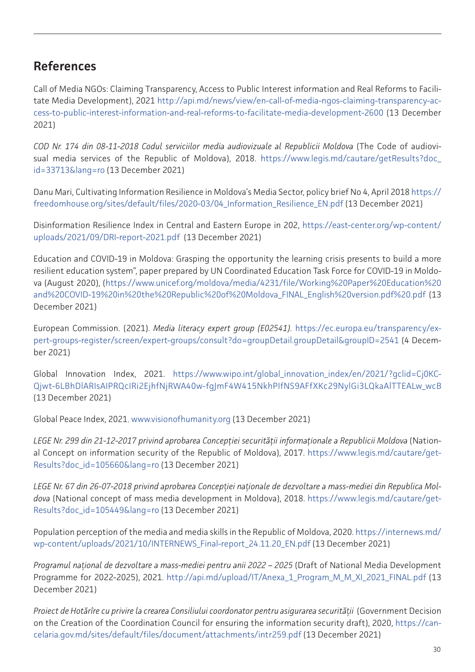# <span id="page-29-0"></span>**References**

Call of Media NGOs: Claiming Transparency, Access to Public Interest information and Real Reforms to Facilitate Media Development), 2021 [http://api.md/news/view/en-call-of-media-ngos-claiming-transparency-ac](http://api.md/news/view/en-call-of-media-ngos-claiming-transparency-access-to-public-interest-inform)[cess-to-public-interest-information-and-real-reforms-to-facilitate-media-development-2600](http://api.md/news/view/en-call-of-media-ngos-claiming-transparency-access-to-public-interest-inform) (13 December 2021)

*COD Nr. 174 din 08-11-2018 Codul serviciilor media audiovizuale al Republicii Moldova* (The Code of audiovisual media services of the Republic of Moldova), 2018. [https://www.legis.md/cautare/getResults?doc\\_](https://www.legis.md/cautare/getResults?doc_id=33713&lang=ro) [id=33713&lang=ro](https://www.legis.md/cautare/getResults?doc_id=33713&lang=ro) (13 December 2021)

Danu Mari, Cultivating Information Resilience in Moldova's Media Sector, policy brief No 4, April 2018 [https://](https://freedomhouse.org/sites/default/files/2020-03/04_Information_Resilience_EN.pdf) [freedomhouse.org/sites/default/files/2020-03/04\\_Information\\_Resilience\\_EN.pdf](https://freedomhouse.org/sites/default/files/2020-03/04_Information_Resilience_EN.pdf) (13 December 2021)

Disinformation Resilience Index in Central and Eastern Europe in 202, [https://east-center.org/wp-content/](https://east-center.org/wp-content/uploads/2021/09/DRI-report-2021.pdf) [uploads/2021/09/DRI-report-2021.pdf](https://east-center.org/wp-content/uploads/2021/09/DRI-report-2021.pdf) (13 December 2021)

Education and COVID-19 in Moldova: Grasping the opportunity the learning crisis presents to build a more resilient education system", paper prepared by UN Coordinated Education Task Force for COVID-19 in Moldova (August 2020), [\(https://www.unicef.org/moldova/media/4231/file/Working%20Paper%20Education%20](https://www.unicef.org/moldova/media/4231/file/Working%20Paper%20Education%20and%20COVID-19%20in%20t) [and%20COVID-19%20in%20the%20Republic%20of%20Moldova\\_FINAL\\_English%20version.pdf%20.pdf](https://www.unicef.org/moldova/media/4231/file/Working%20Paper%20Education%20and%20COVID-19%20in%20t) (13 December 2021)

European Commission. (2021). *Media literacy expert group (E02541)*. [https://ec.europa.eu/transparency/ex](https://ec.europa.eu/transparency/expert-groups-register/screen/expert-groups/consult?do=groupDetail)[pert-groups-register/screen/expert-groups/consult?do=groupDetail.groupDetail&groupID=2541](https://ec.europa.eu/transparency/expert-groups-register/screen/expert-groups/consult?do=groupDetail) (4 December 2021)

Global Innovation Index, 2021. [https://www.wipo.int/global\\_innovation\\_index/en/2021/?gclid=Cj0KC-](https://www.wipo.int/global_innovation_index/en/2021/?gclid=Cj0KCQjwt-6LBhDlARIsAIPRQcIRi2EjhfNjRWA4)[Qjwt-6LBhDlARIsAIPRQcIRi2EjhfNjRWA40w-fgJmF4W415NkhPIfNS9AFfXKc29NylGi3LQkaAlTTEALw\\_wcB](https://www.wipo.int/global_innovation_index/en/2021/?gclid=Cj0KCQjwt-6LBhDlARIsAIPRQcIRi2EjhfNjRWA4) (13 December 2021)

Global Peace Index, 2021. [www.visionofhumanity.org](http://www.visionofhumanity.org) (13 December 2021)

*LEGE Nr. 299 din 21-12-2017 privind aprobarea Concepţiei securităţii informaţionale a Republicii Moldova* (National Concept on information security of the Republic of Moldova), 2017. [https://www.legis.md/cautare/get-](https://www.legis.md/cautare/getResults?doc_id=105660&lang=ro)[Results?doc\\_id=105660&lang=ro](https://www.legis.md/cautare/getResults?doc_id=105660&lang=ro) (13 December 2021)

*LEGE Nr. 67 din 26-07-2018 privind aprobarea Concepției naționale de dezvoltare a mass-mediei din Republica Moldova* (National concept of mass media development in Moldova), 2018. [https://www.legis.md/cautare/get-](https://www.legis.md/cautare/getResults?doc_id=105449&lang=ro)[Results?doc\\_id=105449&lang=ro](https://www.legis.md/cautare/getResults?doc_id=105449&lang=ro) (13 December 2021)

Population perception of the media and media skills in the Republic of Moldova, 2020. [https://internews.md/](https://internews.md/wp-content/uploads/2021/10/INTERNEWS_Final-report_24.11.20_EN.pdf) [wp-content/uploads/2021/10/INTERNEWS\\_Final-report\\_24.11.20\\_EN.pdf](https://internews.md/wp-content/uploads/2021/10/INTERNEWS_Final-report_24.11.20_EN.pdf) (13 December 2021)

*Programul național de dezvoltare a mass-mediei pentru anii 2022 – 2025* (Draft of National Media Development Programme for 2022-2025), 2021. [http://api.md/upload/IT/Anexa\\_1\\_Program\\_M\\_M\\_XI\\_2021\\_FINAL.pdf](http://api.md/upload/IT/Anexa_1_Program_M_M_XI_2021_FINAL.pdf) (13 December 2021)

*Proiect de Hotărîre cu privire la crearea Consiliului coordonator pentru asigurarea securității* (Government Decision on the Creation of the Coordination Council for ensuring the information security draft), 2020, [https://can](https://cancelaria.gov.md/sites/default/files/document/attachments/intr259.pdf)[celaria.gov.md/sites/default/files/document/attachments/intr259.pdf](https://cancelaria.gov.md/sites/default/files/document/attachments/intr259.pdf) (13 December 2021)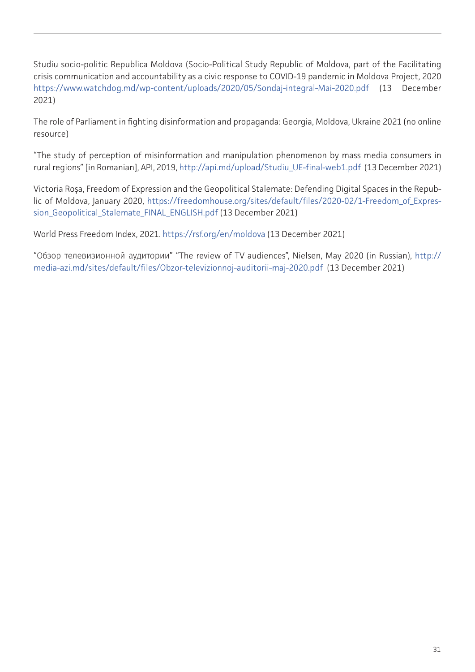Studiu socio-politic Republica Moldova (Socio-Political Study Republic of Moldova, part of the Facilitating crisis communication and accountability as a civic response to COVID-19 pandemic in Moldova Project, 2020 <https://www.watchdog.md/wp-content/uploads/2020/05/Sondaj-integral-Mai-2020.pdf>(13 December 2021)

The role of Parliament in fighting disinformation and propaganda: Georgia, Moldova, Ukraine 2021 (no online resource)

"The study of perception of misinformation and manipulation phenomenon by mass media consumers in rural regions" [in Romanian], API, 2019, [http://api.md/upload/Studiu\\_UE-final-web1.pdf](http://api.md/upload/Studiu_UE-final-web1.pdf) (13 December 2021)

Victoria Roșa, Freedom of Expression and the Geopolitical Stalemate: Defending Digital Spaces in the Republic of Moldova, January 2020, [https://freedomhouse.org/sites/default/files/2020-02/1-Freedom\\_of\\_Expres](https://freedomhouse.org/sites/default/files/2020-02/1-Freedom_of_Expression_Geopolitical_Stalemate_)[sion\\_Geopolitical\\_Stalemate\\_FINAL\\_ENGLISH.pdf](https://freedomhouse.org/sites/default/files/2020-02/1-Freedom_of_Expression_Geopolitical_Stalemate_) (13 December 2021)

World Press Freedom Index, 2021. <https://rsf.org/en/moldova>(13 December 2021)

"Обзор телевизионной аудитории" "The review of TV audiences", Nielsen, May 2020 (in Russian), [http://](http://media-azi.md/sites/default/files/Obzor-televizionnoj-auditorii-maj-2020.pdf) [media-azi.md/sites/default/files/Obzor-televizionnoj-auditorii-maj-2020.pdf](http://media-azi.md/sites/default/files/Obzor-televizionnoj-auditorii-maj-2020.pdf) (13 December 2021)